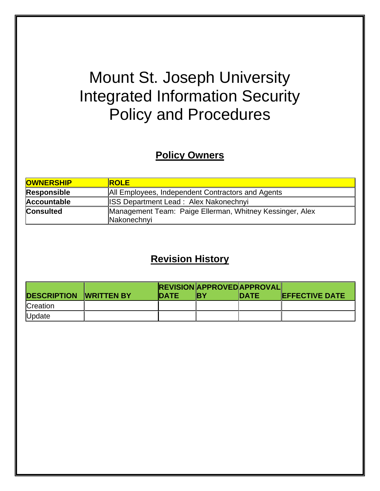# Mount St. Joseph University Integrated Information Security Policy and Procedures

# **Policy Owners**

| <b>OWNERSHIP</b>   | <b>ROLE</b>                                                             |
|--------------------|-------------------------------------------------------------------------|
| <b>Responsible</b> | All Employees, Independent Contractors and Agents                       |
| <b>Accountable</b> | <b>ISS Department Lead: Alex Nakonechnyi</b>                            |
| <b>Consulted</b>   | Management Team: Paige Ellerman, Whitney Kessinger, Alex<br>Nakonechnyi |

# **Revision History**

|                               |              |     | <b>IREVISION APPROVED APPROVAL</b> |                        |
|-------------------------------|--------------|-----|------------------------------------|------------------------|
| <b>DESCRIPTION WRITTEN BY</b> | <b>IDATE</b> | IRY | <b>IDATE</b>                       | <b>IEFFECTIVE DATE</b> |
| Creation                      |              |     |                                    |                        |
| Update                        |              |     |                                    |                        |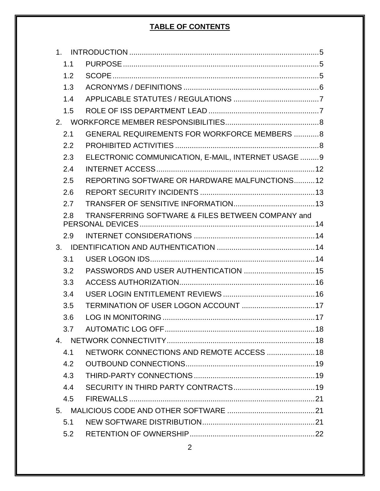# **TABLE OF CONTENTS**

| $1 \quad$ |                                                     |  |
|-----------|-----------------------------------------------------|--|
| 1.1       |                                                     |  |
| 1.2       |                                                     |  |
| 1.3       |                                                     |  |
| 1.4       |                                                     |  |
| 1.5       |                                                     |  |
|           |                                                     |  |
| 2.1       | <b>GENERAL REQUIREMENTS FOR WORKFORCE MEMBERS 8</b> |  |
| 2.2       |                                                     |  |
| 2.3       | ELECTRONIC COMMUNICATION, E-MAIL, INTERNET USAGE  9 |  |
| 2.4       |                                                     |  |
| 2.5       | REPORTING SOFTWARE OR HARDWARE MALFUNCTIONS12       |  |
| 2.6       |                                                     |  |
| 2.7       |                                                     |  |
| 2.8       | TRANSFERRING SOFTWARE & FILES BETWEEN COMPANY and   |  |
| 2.9       |                                                     |  |
| 3.        |                                                     |  |
| 3.1       |                                                     |  |
| 3.2       |                                                     |  |
| 3.3       |                                                     |  |
| 3.4       |                                                     |  |
| 3.5       |                                                     |  |
| 3.6       |                                                     |  |
| 3.7       |                                                     |  |
|           |                                                     |  |
| 4.1       | NETWORK CONNECTIONS AND REMOTE ACCESS  18           |  |
| 4.2       |                                                     |  |
| 4.3       |                                                     |  |
| 4.4       |                                                     |  |
| 4.5       |                                                     |  |
|           |                                                     |  |
| 5.1       |                                                     |  |
| 5.2       |                                                     |  |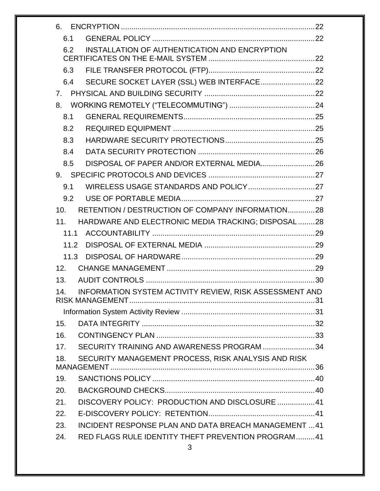| 6.             |                                                         |  |
|----------------|---------------------------------------------------------|--|
| 6.1            |                                                         |  |
| 6.2            | INSTALLATION OF AUTHENTICATION AND ENCRYPTION           |  |
|                |                                                         |  |
| 6.3            |                                                         |  |
| 6.4            |                                                         |  |
| 7 <sub>1</sub> |                                                         |  |
| 8.             |                                                         |  |
| 8.1            |                                                         |  |
| 8.2            |                                                         |  |
| 8.3            |                                                         |  |
| 8.4            |                                                         |  |
| 8.5            | DISPOSAL OF PAPER AND/OR EXTERNAL MEDIA26               |  |
| 9.             |                                                         |  |
| 9.1            |                                                         |  |
| 9.2            |                                                         |  |
| 10.            | RETENTION / DESTRUCTION OF COMPANY INFORMATION28        |  |
| 11.            | HARDWARE AND ELECTRONIC MEDIA TRACKING; DISPOSAL 28     |  |
| 11.1           |                                                         |  |
| 11.2           |                                                         |  |
| 11.3           |                                                         |  |
| 12.            |                                                         |  |
| 13.            |                                                         |  |
| 14.            | INFORMATION SYSTEM ACTIVITY REVIEW, RISK ASSESSMENT AND |  |
|                |                                                         |  |
| 15.            |                                                         |  |
| 16.            |                                                         |  |
| 17.            | SECURITY TRAINING AND AWARENESS PROGRAM 34              |  |
| 18.            | SECURITY MANAGEMENT PROCESS, RISK ANALYSIS AND RISK     |  |
| 19.            |                                                         |  |
| 20.            |                                                         |  |
| 21.            | DISCOVERY POLICY: PRODUCTION AND DISCLOSURE  41         |  |
| 22.            |                                                         |  |
| 23.            | INCIDENT RESPONSE PLAN AND DATA BREACH MANAGEMENT  41   |  |
| 24.            | RED FLAGS RULE IDENTITY THEFT PREVENTION PROGRAM41      |  |
|                |                                                         |  |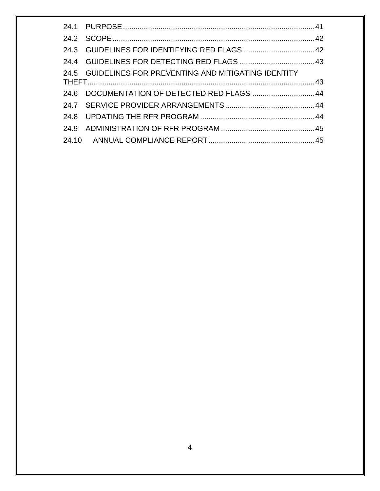| 24.5 GUIDELINES FOR PREVENTING AND MITIGATING IDENTITY |                                              |
|--------------------------------------------------------|----------------------------------------------|
|                                                        |                                              |
|                                                        |                                              |
|                                                        |                                              |
|                                                        |                                              |
|                                                        |                                              |
|                                                        | 24.6 DOCUMENTATION OF DETECTED RED FLAGS  44 |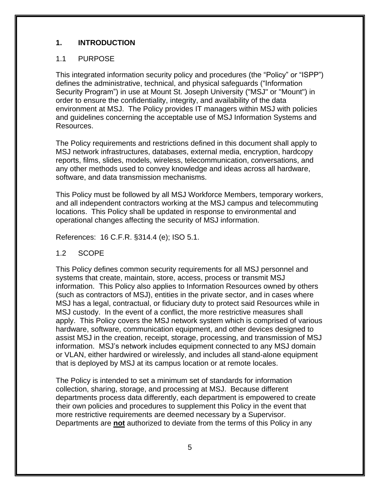## <span id="page-4-0"></span>**1. INTRODUCTION**

#### <span id="page-4-1"></span>1.1 PURPOSE

This integrated information security policy and procedures (the "Policy" or "ISPP") defines the administrative, technical, and physical safeguards ("Information Security Program") in use at Mount St. Joseph University ("MSJ" or "Mount") in order to ensure the confidentiality, integrity, and availability of the data environment at MSJ. The Policy provides IT managers within MSJ with policies and guidelines concerning the acceptable use of MSJ Information Systems and Resources.

The Policy requirements and restrictions defined in this document shall apply to MSJ network infrastructures, databases, external media, encryption, hardcopy reports, films, slides, models, wireless, telecommunication, conversations, and any other methods used to convey knowledge and ideas across all hardware, software, and data transmission mechanisms.

This Policy must be followed by all MSJ Workforce Members, temporary workers, and all independent contractors working at the MSJ campus and telecommuting locations. This Policy shall be updated in response to environmental and operational changes affecting the security of MSJ information.

References: 16 C.F.R. §314.4 (e); ISO 5.1.

#### <span id="page-4-2"></span>1.2 SCOPE

This Policy defines common security requirements for all MSJ personnel and systems that create, maintain, store, access, process or transmit MSJ information. This Policy also applies to Information Resources owned by others (such as contractors of MSJ), entities in the private sector, and in cases where MSJ has a legal, contractual, or fiduciary duty to protect said Resources while in MSJ custody. In the event of a conflict, the more restrictive measures shall apply. This Policy covers the MSJ network system which is comprised of various hardware, software, communication equipment, and other devices designed to assist MSJ in the creation, receipt, storage, processing, and transmission of MSJ information. MSJ's network includes equipment connected to any MSJ domain or VLAN, either hardwired or wirelessly, and includes all stand-alone equipment that is deployed by MSJ at its campus location or at remote locales.

The Policy is intended to set a minimum set of standards for information collection, sharing, storage, and processing at MSJ. Because different departments process data differently, each department is empowered to create their own policies and procedures to supplement this Policy in the event that more restrictive requirements are deemed necessary by a Supervisor. Departments are **not** authorized to deviate from the terms of this Policy in any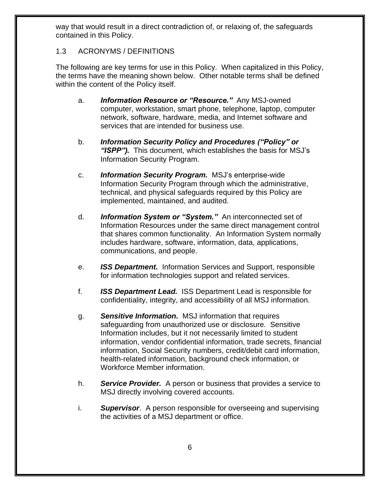way that would result in a direct contradiction of, or relaxing of, the safeguards contained in this Policy.

# <span id="page-5-0"></span>1.3 ACRONYMS / DEFINITIONS

The following are key terms for use in this Policy. When capitalized in this Policy, the terms have the meaning shown below. Other notable terms shall be defined within the content of the Policy itself.

- a. *Information Resource or "Resource."* Any MSJ-owned computer, workstation, smart phone, telephone, laptop, computer network, software, hardware, media, and Internet software and services that are intended for business use.
- b. *Information Security Policy and Procedures ("Policy" or "ISPP").* This document, which establishes the basis for MSJ's Information Security Program.
- c. *Information Security Program.* MSJ's enterprise-wide Information Security Program through which the administrative, technical, and physical safeguards required by this Policy are implemented, maintained, and audited.
- d. *Information System or "System."* An interconnected set of Information Resources under the same direct management control that shares common functionality. An Information System normally includes hardware, software, information, data, applications, communications, and people.
- e. *ISS Department.* Information Services and Support, responsible for information technologies support and related services.
- f. *ISS Department Lead.* ISS Department Lead is responsible for confidentiality, integrity, and accessibility of all MSJ information.
- g. *Sensitive Information.* MSJ information that requires safeguarding from unauthorized use or disclosure. Sensitive Information includes, but it not necessarily limited to student information, vendor confidential information, trade secrets, financial information, Social Security numbers, credit/debit card information, health-related information, background check information, or Workforce Member information.
- h. *Service Provider.* A person or business that provides a service to MSJ directly involving covered accounts.
- i. *Supervisor*. A person responsible for overseeing and supervising the activities of a MSJ department or office.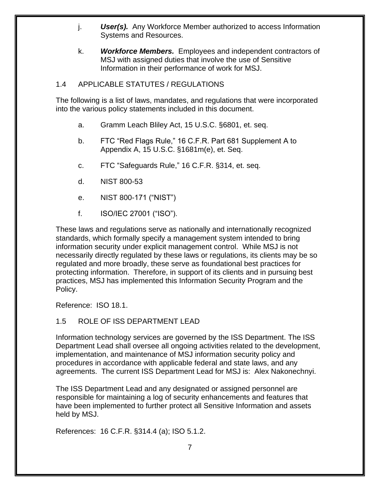- j. *User(s).* Any Workforce Member authorized to access Information Systems and Resources.
- k. *Workforce Members.* Employees and independent contractors of MSJ with assigned duties that involve the use of Sensitive Information in their performance of work for MSJ.

#### <span id="page-6-0"></span>1.4 APPLICABLE STATUTES / REGULATIONS

The following is a list of laws, mandates, and regulations that were incorporated into the various policy statements included in this document.

- a. Gramm Leach Bliley Act, 15 U.S.C. §6801, et. seq.
- b. FTC "Red Flags Rule," 16 C.F.R. Part 681 Supplement A to Appendix A, 15 U.S.C. §1681m(e), et. Seq.
- c. FTC "Safeguards Rule," 16 C.F.R. §314, et. seq.
- d. NIST 800-53
- e. NIST 800-171 ("NIST")
- f. ISO/IEC 27001 ("ISO").

These laws and regulations serve as nationally and internationally recognized standards, which formally specify a management system intended to bring information security under explicit management control. While MSJ is not necessarily directly regulated by these laws or regulations, its clients may be so regulated and more broadly, these serve as foundational best practices for protecting information. Therefore, in support of its clients and in pursuing best practices, MSJ has implemented this Information Security Program and the Policy.

Reference: ISO 18.1.

#### <span id="page-6-1"></span>1.5 ROLE OF ISS DEPARTMENT LEAD

Information technology services are governed by the ISS Department. The ISS Department Lead shall oversee all ongoing activities related to the development, implementation, and maintenance of MSJ information security policy and procedures in accordance with applicable federal and state laws, and any agreements. The current ISS Department Lead for MSJ is: Alex Nakonechnyi.

The ISS Department Lead and any designated or assigned personnel are responsible for maintaining a log of security enhancements and features that have been implemented to further protect all Sensitive Information and assets held by MSJ.

References: 16 C.F.R. §314.4 (a); ISO 5.1.2.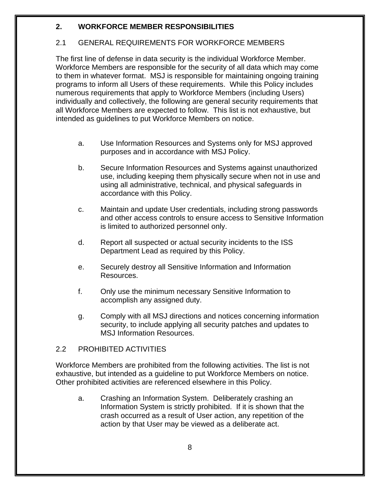# <span id="page-7-0"></span>**2. WORKFORCE MEMBER RESPONSIBILITIES**

#### <span id="page-7-1"></span>2.1 GENERAL REQUIREMENTS FOR WORKFORCE MEMBERS

The first line of defense in data security is the individual Workforce Member. Workforce Members are responsible for the security of all data which may come to them in whatever format. MSJ is responsible for maintaining ongoing training programs to inform all Users of these requirements. While this Policy includes numerous requirements that apply to Workforce Members (including Users) individually and collectively, the following are general security requirements that all Workforce Members are expected to follow. This list is not exhaustive, but intended as guidelines to put Workforce Members on notice.

- a. Use Information Resources and Systems only for MSJ approved purposes and in accordance with MSJ Policy.
- b. Secure Information Resources and Systems against unauthorized use, including keeping them physically secure when not in use and using all administrative, technical, and physical safeguards in accordance with this Policy.
- c. Maintain and update User credentials, including strong passwords and other access controls to ensure access to Sensitive Information is limited to authorized personnel only.
- d. Report all suspected or actual security incidents to the ISS Department Lead as required by this Policy.
- e. Securely destroy all Sensitive Information and Information Resources.
- f. Only use the minimum necessary Sensitive Information to accomplish any assigned duty.
- g. Comply with all MSJ directions and notices concerning information security, to include applying all security patches and updates to MSJ Information Resources.

#### <span id="page-7-2"></span>2.2 PROHIBITED ACTIVITIES

Workforce Members are prohibited from the following activities. The list is not exhaustive, but intended as a guideline to put Workforce Members on notice. Other prohibited activities are referenced elsewhere in this Policy.

a. Crashing an Information System. Deliberately crashing an Information System is strictly prohibited. If it is shown that the crash occurred as a result of User action, any repetition of the action by that User may be viewed as a deliberate act.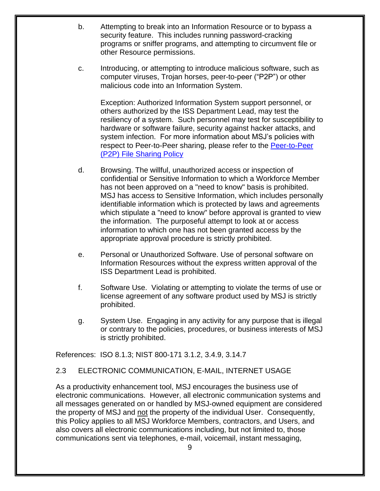- b. Attempting to break into an Information Resource or to bypass a security feature. This includes running password-cracking programs or sniffer programs, and attempting to circumvent file or other Resource permissions.
- c. Introducing, or attempting to introduce malicious software, such as computer viruses, Trojan horses, peer-to-peer ("P2P") or other malicious code into an Information System.

Exception: Authorized Information System support personnel, or others authorized by the ISS Department Lead, may test the resiliency of a system. Such personnel may test for susceptibility to hardware or software failure, security against hacker attacks, and system infection. For more information about MSJ's policies with respect to Peer-to-Peer sharing, please refer to the [Peer-to-Peer](https://mymount.msj.edu/ICS/icsfs/Peer-toPeer_(P2P)_File_Sharing_Policy_revised_Augu.pdf?target=93fa2666-a23f-41a1-aa86-1d15ae59f7c4)  [\(P2P\) File Sharing Policy](https://mymount.msj.edu/ICS/icsfs/Peer-toPeer_(P2P)_File_Sharing_Policy_revised_Augu.pdf?target=93fa2666-a23f-41a1-aa86-1d15ae59f7c4)

- d. Browsing. The willful, unauthorized access or inspection of confidential or Sensitive Information to which a Workforce Member has not been approved on a "need to know" basis is prohibited. MSJ has access to Sensitive Information, which includes personally identifiable information which is protected by laws and agreements which stipulate a "need to know" before approval is granted to view the information. The purposeful attempt to look at or access information to which one has not been granted access by the appropriate approval procedure is strictly prohibited.
- e. Personal or Unauthorized Software. Use of personal software on Information Resources without the express written approval of the ISS Department Lead is prohibited.
- f. Software Use. Violating or attempting to violate the terms of use or license agreement of any software product used by MSJ is strictly prohibited.
- g. System Use. Engaging in any activity for any purpose that is illegal or contrary to the policies, procedures, or business interests of MSJ is strictly prohibited.

<span id="page-8-0"></span>References: ISO 8.1.3; NIST 800-171 3.1.2, 3.4.9, 3.14.7

#### 2.3 ELECTRONIC COMMUNICATION, E-MAIL, INTERNET USAGE

As a productivity enhancement tool, MSJ encourages the business use of electronic communications. However, all electronic communication systems and all messages generated on or handled by MSJ-owned equipment are considered the property of MSJ and not the property of the individual User. Consequently, this Policy applies to all MSJ Workforce Members, contractors, and Users, and also covers all electronic communications including, but not limited to, those communications sent via telephones, e-mail, voicemail, instant messaging,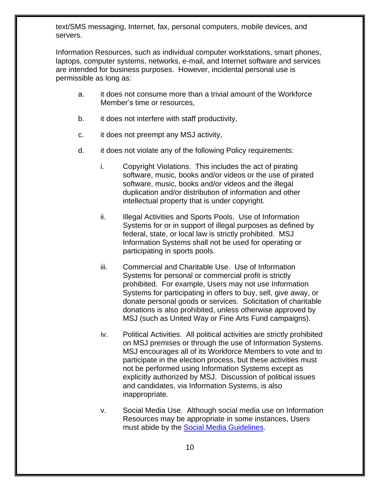text/SMS messaging, Internet, fax, personal computers, mobile devices, and servers.

Information Resources, such as individual computer workstations, smart phones, laptops, computer systems, networks, e-mail, and Internet software and services are intended for business purposes. However, incidental personal use is permissible as long as:

- a. it does not consume more than a trivial amount of the Workforce Member's time or resources,
- b. it does not interfere with staff productivity,
- c. it does not preempt any MSJ activity,
- d. it does not violate any of the following Policy requirements:
	- i. Copyright Violations. This includes the act of pirating software, music, books and/or videos or the use of pirated software, music, books and/or videos and the illegal duplication and/or distribution of information and other intellectual property that is under copyright.
	- ii. Illegal Activities and Sports Pools. Use of Information Systems for or in support of illegal purposes as defined by federal, state, or local law is strictly prohibited. MSJ Information Systems shall not be used for operating or participating in sports pools.
	- iii. Commercial and Charitable Use. Use of Information Systems for personal or commercial profit is strictly prohibited. For example, Users may not use Information Systems for participating in offers to buy, sell, give away, or donate personal goods or services. Solicitation of charitable donations is also prohibited, unless otherwise approved by MSJ (such as United Way or Fine Arts Fund campaigns).
	- iv. Political Activities. All political activities are strictly prohibited on MSJ premises or through the use of Information Systems. MSJ encourages all of its Workforce Members to vote and to participate in the election process, but these activities must not be performed using Information Systems except as explicitly authorized by MSJ. Discussion of political issues and candidates, via Information Systems, is also inappropriate.
	- v. Social Media Use. Although social media use on Information Resources may be appropriate in some instances, Users must abide by the [Social Media Guidelines.](https://mymount.msj.edu/ICS/icsfs/O-Social_Media_Policy_and_Guidelines.pdf?target=b194caf0-2a10-41c9-93df-71936f6fe08b)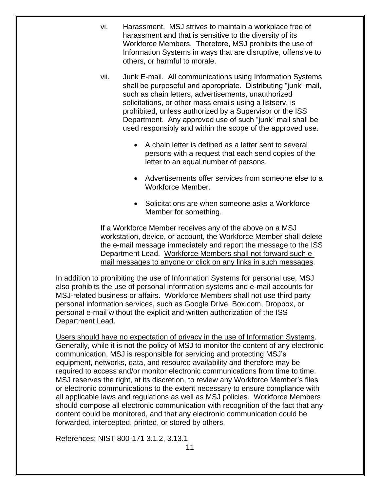- vi. Harassment. MSJ strives to maintain a workplace free of harassment and that is sensitive to the diversity of its Workforce Members. Therefore, MSJ prohibits the use of Information Systems in ways that are disruptive, offensive to others, or harmful to morale.
- vii. Junk E-mail. All communications using Information Systems shall be purposeful and appropriate. Distributing "junk" mail, such as chain letters, advertisements, unauthorized solicitations, or other mass emails using a listserv, is prohibited, unless authorized by a Supervisor or the ISS Department. Any approved use of such "junk" mail shall be used responsibly and within the scope of the approved use.
	- A chain letter is defined as a letter sent to several persons with a request that each send copies of the letter to an equal number of persons.
	- Advertisements offer services from someone else to a Workforce Member.
	- Solicitations are when someone asks a Workforce Member for something.

If a Workforce Member receives any of the above on a MSJ workstation, device, or account, the Workforce Member shall delete the e-mail message immediately and report the message to the ISS Department Lead. Workforce Members shall not forward such email messages to anyone or click on any links in such messages.

In addition to prohibiting the use of Information Systems for personal use, MSJ also prohibits the use of personal information systems and e-mail accounts for MSJ-related business or affairs. Workforce Members shall not use third party personal information services, such as Google Drive, Box.com, Dropbox, or personal e-mail without the explicit and written authorization of the ISS Department Lead.

Users should have no expectation of privacy in the use of Information Systems. Generally, while it is not the policy of MSJ to monitor the content of any electronic communication, MSJ is responsible for servicing and protecting MSJ's equipment, networks, data, and resource availability and therefore may be required to access and/or monitor electronic communications from time to time. MSJ reserves the right, at its discretion, to review any Workforce Member's files or electronic communications to the extent necessary to ensure compliance with all applicable laws and regulations as well as MSJ policies. Workforce Members should compose all electronic communication with recognition of the fact that any content could be monitored, and that any electronic communication could be forwarded, intercepted, printed, or stored by others.

References: NIST 800-171 3.1.2, 3.13.1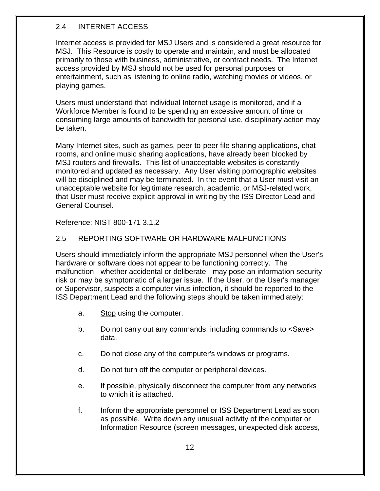# <span id="page-11-0"></span>2.4 INTERNET ACCESS

Internet access is provided for MSJ Users and is considered a great resource for MSJ. This Resource is costly to operate and maintain, and must be allocated primarily to those with business, administrative, or contract needs. The Internet access provided by MSJ should not be used for personal purposes or entertainment, such as listening to online radio, watching movies or videos, or playing games.

Users must understand that individual Internet usage is monitored, and if a Workforce Member is found to be spending an excessive amount of time or consuming large amounts of bandwidth for personal use, disciplinary action may be taken.

Many Internet sites, such as games, peer-to-peer file sharing applications, chat rooms, and online music sharing applications, have already been blocked by MSJ routers and firewalls. This list of unacceptable websites is constantly monitored and updated as necessary. Any User visiting pornographic websites will be disciplined and may be terminated. In the event that a User must visit an unacceptable website for legitimate research, academic, or MSJ-related work, that User must receive explicit approval in writing by the ISS Director Lead and General Counsel.

Reference: NIST 800-171 3.1.2

#### <span id="page-11-1"></span>2.5 REPORTING SOFTWARE OR HARDWARE MALFUNCTIONS

Users should immediately inform the appropriate MSJ personnel when the User's hardware or software does not appear to be functioning correctly. The malfunction - whether accidental or deliberate - may pose an information security risk or may be symptomatic of a larger issue. If the User, or the User's manager or Supervisor, suspects a computer virus infection, it should be reported to the ISS Department Lead and the following steps should be taken immediately:

- a. Stop using the computer.
- b. Do not carry out any commands, including commands to <Save> data.
- c. Do not close any of the computer's windows or programs.
- d. Do not turn off the computer or peripheral devices.
- e. If possible, physically disconnect the computer from any networks to which it is attached.
- f. Inform the appropriate personnel or ISS Department Lead as soon as possible. Write down any unusual activity of the computer or Information Resource (screen messages, unexpected disk access,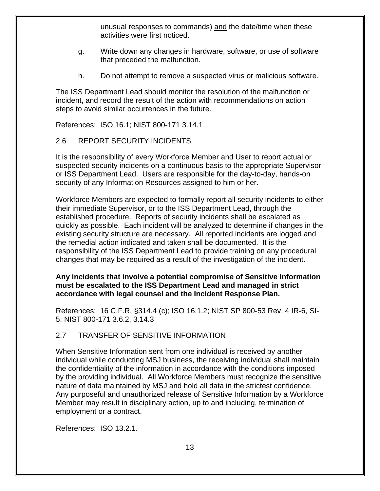unusual responses to commands) and the date/time when these activities were first noticed.

- g. Write down any changes in hardware, software, or use of software that preceded the malfunction.
- h. Do not attempt to remove a suspected virus or malicious software.

The ISS Department Lead should monitor the resolution of the malfunction or incident, and record the result of the action with recommendations on action steps to avoid similar occurrences in the future.

References: ISO 16.1; NIST 800-171 3.14.1

# <span id="page-12-0"></span>2.6 REPORT SECURITY INCIDENTS

It is the responsibility of every Workforce Member and User to report actual or suspected security incidents on a continuous basis to the appropriate Supervisor or ISS Department Lead. Users are responsible for the day-to-day, hands-on security of any Information Resources assigned to him or her.

Workforce Members are expected to formally report all security incidents to either their immediate Supervisor, or to the ISS Department Lead, through the established procedure. Reports of security incidents shall be escalated as quickly as possible. Each incident will be analyzed to determine if changes in the existing security structure are necessary. All reported incidents are logged and the remedial action indicated and taken shall be documented. It is the responsibility of the ISS Department Lead to provide training on any procedural changes that may be required as a result of the investigation of the incident.

#### **Any incidents that involve a potential compromise of Sensitive Information must be escalated to the ISS Department Lead and managed in strict accordance with legal counsel and the Incident Response Plan.**

References: 16 C.F.R. §314.4 (c); ISO 16.1.2; NIST SP 800-53 Rev. 4 IR-6, SI-5; NIST 800-171 3.6.2, 3.14.3

# <span id="page-12-1"></span>2.7 TRANSFER OF SENSITIVE INFORMATION

When Sensitive Information sent from one individual is received by another individual while conducting MSJ business, the receiving individual shall maintain the confidentiality of the information in accordance with the conditions imposed by the providing individual. All Workforce Members must recognize the sensitive nature of data maintained by MSJ and hold all data in the strictest confidence. Any purposeful and unauthorized release of Sensitive Information by a Workforce Member may result in disciplinary action, up to and including, termination of employment or a contract.

References: ISO 13.2.1.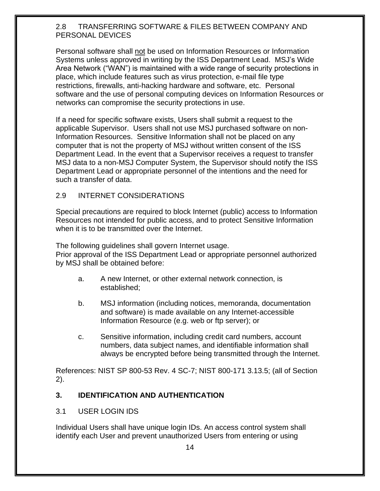#### <span id="page-13-0"></span>2.8 TRANSFERRING SOFTWARE & FILES BETWEEN COMPANY AND PERSONAL DEVICES

Personal software shall not be used on Information Resources or Information Systems unless approved in writing by the ISS Department Lead. MSJ's Wide Area Network ("WAN") is maintained with a wide range of security protections in place, which include features such as virus protection, e-mail file type restrictions, firewalls, anti-hacking hardware and software, etc. Personal software and the use of personal computing devices on Information Resources or networks can compromise the security protections in use.

If a need for specific software exists, Users shall submit a request to the applicable Supervisor. Users shall not use MSJ purchased software on non-Information Resources. Sensitive Information shall not be placed on any computer that is not the property of MSJ without written consent of the ISS Department Lead. In the event that a Supervisor receives a request to transfer MSJ data to a non-MSJ Computer System, the Supervisor should notify the ISS Department Lead or appropriate personnel of the intentions and the need for such a transfer of data.

#### <span id="page-13-1"></span>2.9 INTERNET CONSIDERATIONS

Special precautions are required to block Internet (public) access to Information Resources not intended for public access, and to protect Sensitive Information when it is to be transmitted over the Internet.

The following guidelines shall govern Internet usage.

Prior approval of the ISS Department Lead or appropriate personnel authorized by MSJ shall be obtained before:

- a. A new Internet, or other external network connection, is established;
- b. MSJ information (including notices, memoranda, documentation and software) is made available on any Internet-accessible Information Resource (e.g. web or ftp server); or
- c. Sensitive information, including credit card numbers, account numbers, data subject names, and identifiable information shall always be encrypted before being transmitted through the Internet.

References: NIST SP 800-53 Rev. 4 SC-7; NIST 800-171 3.13.5; (all of Section 2).

# <span id="page-13-2"></span>**3. IDENTIFICATION AND AUTHENTICATION**

#### <span id="page-13-3"></span>3.1 USER LOGIN IDS

Individual Users shall have unique login IDs. An access control system shall identify each User and prevent unauthorized Users from entering or using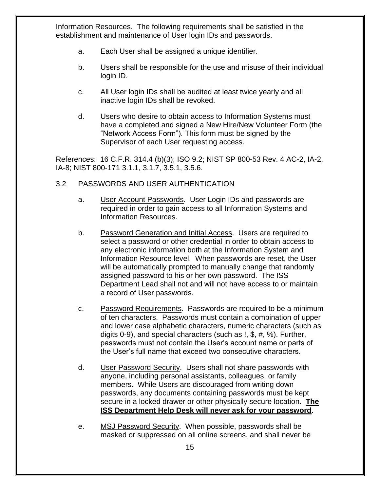Information Resources. The following requirements shall be satisfied in the establishment and maintenance of User login IDs and passwords.

- a. Each User shall be assigned a unique identifier.
- b. Users shall be responsible for the use and misuse of their individual login ID.
- c. All User login IDs shall be audited at least twice yearly and all inactive login IDs shall be revoked.
- d. Users who desire to obtain access to Information Systems must have a completed and signed a New Hire/New Volunteer Form (the "Network Access Form"). This form must be signed by the Supervisor of each User requesting access.

References: 16 C.F.R. 314.4 (b)(3); ISO 9.2; NIST SP 800-53 Rev. 4 AC-2, IA-2, IA-8; NIST 800-171 3.1.1, 3.1.7, 3.5.1, 3.5.6.

#### <span id="page-14-0"></span>3.2 PASSWORDS AND USER AUTHENTICATION

- a. User Account Passwords. User Login IDs and passwords are required in order to gain access to all Information Systems and Information Resources.
- b. Password Generation and Initial Access. Users are required to select a password or other credential in order to obtain access to any electronic information both at the Information System and Information Resource level. When passwords are reset, the User will be automatically prompted to manually change that randomly assigned password to his or her own password. The ISS Department Lead shall not and will not have access to or maintain a record of User passwords.
- c. Password Requirements. Passwords are required to be a minimum of ten characters. Passwords must contain a combination of upper and lower case alphabetic characters, numeric characters (such as digits 0-9), and special characters (such as !, \$, #, %). Further, passwords must not contain the User's account name or parts of the User's full name that exceed two consecutive characters.
- d. User Password Security. Users shall not share passwords with anyone, including personal assistants, colleagues, or family members. While Users are discouraged from writing down passwords, any documents containing passwords must be kept secure in a locked drawer or other physically secure location. **The ISS Department Help Desk will never ask for your password**.
- e. MSJ Password Security. When possible, passwords shall be masked or suppressed on all online screens, and shall never be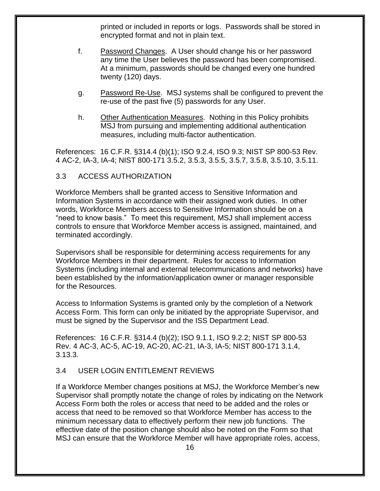printed or included in reports or logs. Passwords shall be stored in encrypted format and not in plain text.

- f. Password Changes. A User should change his or her password any time the User believes the password has been compromised. At a minimum, passwords should be changed every one hundred twenty (120) days.
- g. Password Re-Use. MSJ systems shall be configured to prevent the re-use of the past five (5) passwords for any User.
- h. Other Authentication Measures. Nothing in this Policy prohibits MSJ from pursuing and implementing additional authentication measures, including multi-factor authentication.

References: 16 C.F.R. §314.4 (b)(1); ISO 9.2.4, ISO 9.3; NIST SP 800-53 Rev. 4 AC-2, IA-3, IA-4; NIST 800-171 3.5.2, 3.5.3, 3.5.5, 3.5.7, 3.5.8, 3.5.10, 3.5.11.

#### <span id="page-15-0"></span>3.3 ACCESS AUTHORIZATION

Workforce Members shall be granted access to Sensitive Information and Information Systems in accordance with their assigned work duties. In other words, Workforce Members access to Sensitive Information should be on a "need to know basis." To meet this requirement, MSJ shall implement access controls to ensure that Workforce Member access is assigned, maintained, and terminated accordingly.

Supervisors shall be responsible for determining access requirements for any Workforce Members in their department. Rules for access to Information Systems (including internal and external telecommunications and networks) have been established by the information/application owner or manager responsible for the Resources.

Access to Information Systems is granted only by the completion of a Network Access Form. This form can only be initiated by the appropriate Supervisor, and must be signed by the Supervisor and the ISS Department Lead.

References: 16 C.F.R. §314.4 (b)(2); ISO 9.1.1, ISO 9.2.2; NIST SP 800-53 Rev. 4 AC-3, AC-5, AC-19, AC-20, AC-21, IA-3, IA-5; NIST 800-171 3.1.4, 3.13.3.

#### <span id="page-15-1"></span>3.4 USER LOGIN ENTITLEMENT REVIEWS

If a Workforce Member changes positions at MSJ, the Workforce Member's new Supervisor shall promptly notate the change of roles by indicating on the Network Access Form both the roles or access that need to be added and the roles or access that need to be removed so that Workforce Member has access to the minimum necessary data to effectively perform their new job functions. The effective date of the position change should also be noted on the Form so that MSJ can ensure that the Workforce Member will have appropriate roles, access,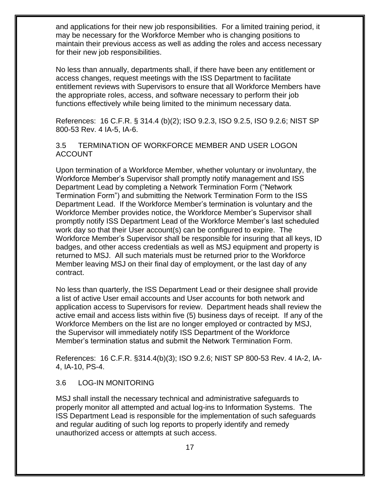and applications for their new job responsibilities. For a limited training period, it may be necessary for the Workforce Member who is changing positions to maintain their previous access as well as adding the roles and access necessary for their new job responsibilities.

No less than annually, departments shall, if there have been any entitlement or access changes, request meetings with the ISS Department to facilitate entitlement reviews with Supervisors to ensure that all Workforce Members have the appropriate roles, access, and software necessary to perform their job functions effectively while being limited to the minimum necessary data.

References: 16 C.F.R. § 314.4 (b)(2); ISO 9.2.3, ISO 9.2.5, ISO 9.2.6; NIST SP 800-53 Rev. 4 IA-5, IA-6.

#### <span id="page-16-0"></span>3.5 TERMINATION OF WORKFORCE MEMBER AND USER LOGON ACCOUNT

Upon termination of a Workforce Member, whether voluntary or involuntary, the Workforce Member's Supervisor shall promptly notify management and ISS Department Lead by completing a Network Termination Form ("Network Termination Form") and submitting the Network Termination Form to the ISS Department Lead. If the Workforce Member's termination is voluntary and the Workforce Member provides notice, the Workforce Member's Supervisor shall promptly notify ISS Department Lead of the Workforce Member's last scheduled work day so that their User account(s) can be configured to expire. The Workforce Member's Supervisor shall be responsible for insuring that all keys, ID badges, and other access credentials as well as MSJ equipment and property is returned to MSJ. All such materials must be returned prior to the Workforce Member leaving MSJ on their final day of employment, or the last day of any contract.

No less than quarterly, the ISS Department Lead or their designee shall provide a list of active User email accounts and User accounts for both network and application access to Supervisors for review. Department heads shall review the active email and access lists within five (5) business days of receipt. If any of the Workforce Members on the list are no longer employed or contracted by MSJ, the Supervisor will immediately notify ISS Department of the Workforce Member's termination status and submit the Network Termination Form.

References: 16 C.F.R. §314.4(b)(3); ISO 9.2.6; NIST SP 800-53 Rev. 4 IA-2, IA-4, IA-10, PS-4.

#### <span id="page-16-1"></span>3.6 LOG-IN MONITORING

MSJ shall install the necessary technical and administrative safeguards to properly monitor all attempted and actual log-ins to Information Systems. The ISS Department Lead is responsible for the implementation of such safeguards and regular auditing of such log reports to properly identify and remedy unauthorized access or attempts at such access.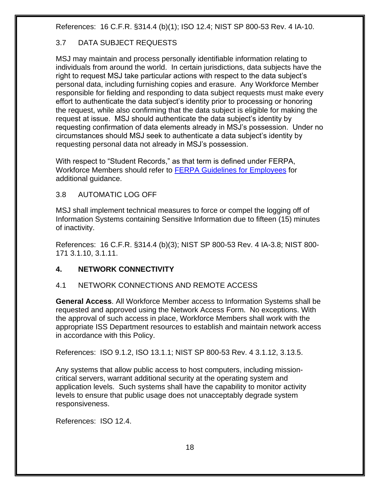References: 16 C.F.R. §314.4 (b)(1); ISO 12.4; NIST SP 800-53 Rev. 4 IA-10.

# <span id="page-17-0"></span>3.7 DATA SUBJECT REQUESTS

MSJ may maintain and process personally identifiable information relating to individuals from around the world. In certain jurisdictions, data subjects have the right to request MSJ take particular actions with respect to the data subject's personal data, including furnishing copies and erasure. Any Workforce Member responsible for fielding and responding to data subject requests must make every effort to authenticate the data subject's identity prior to processing or honoring the request, while also confirming that the data subject is eligible for making the request at issue. MSJ should authenticate the data subject's identity by requesting confirmation of data elements already in MSJ's possession. Under no circumstances should MSJ seek to authenticate a data subject's identity by requesting personal data not already in MSJ's possession.

With respect to "Student Records," as that term is defined under FERPA, Workforce Members should refer to **FERPA Guidelines for Employees** for additional guidance.

#### 3.8 AUTOMATIC LOG OFF

MSJ shall implement technical measures to force or compel the logging off of Information Systems containing Sensitive Information due to fifteen (15) minutes of inactivity.

References: 16 C.F.R. §314.4 (b)(3); NIST SP 800-53 Rev. 4 IA-3.8; NIST 800- 171 3.1.10, 3.1.11.

# <span id="page-17-1"></span>**4. NETWORK CONNECTIVITY**

# <span id="page-17-2"></span>4.1 NETWORK CONNECTIONS AND REMOTE ACCESS

**General Access**. All Workforce Member access to Information Systems shall be requested and approved using the Network Access Form. No exceptions. With the approval of such access in place, Workforce Members shall work with the appropriate ISS Department resources to establish and maintain network access in accordance with this Policy.

References: ISO 9.1.2, ISO 13.1.1; NIST SP 800-53 Rev. 4 3.1.12, 3.13.5.

Any systems that allow public access to host computers, including missioncritical servers, warrant additional security at the operating system and application levels. Such systems shall have the capability to monitor activity levels to ensure that public usage does not unacceptably degrade system responsiveness.

References: ISO 12.4.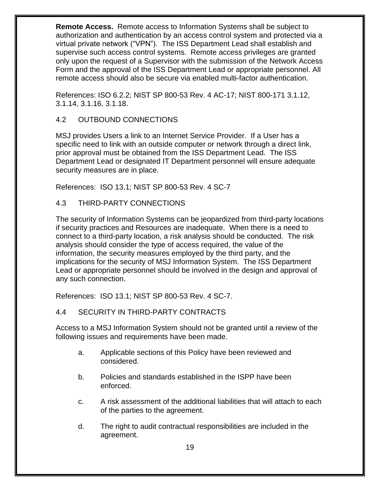**Remote Access.** Remote access to Information Systems shall be subject to authorization and authentication by an access control system and protected via a virtual private network ("VPN"). The ISS Department Lead shall establish and supervise such access control systems. Remote access privileges are granted only upon the request of a Supervisor with the submission of the Network Access Form and the approval of the ISS Department Lead or appropriate personnel. All remote access should also be secure via enabled multi-factor authentication.

References: ISO 6.2.2; NIST SP 800-53 Rev. 4 AC-17; NIST 800-171 3.1.12, 3.1.14, 3.1.16, 3.1.18.

## <span id="page-18-0"></span>4.2 OUTBOUND CONNECTIONS

MSJ provides Users a link to an Internet Service Provider. If a User has a specific need to link with an outside computer or network through a direct link, prior approval must be obtained from the ISS Department Lead. The ISS Department Lead or designated IT Department personnel will ensure adequate security measures are in place.

References: ISO 13.1; NIST SP 800-53 Rev. 4 SC-7

<span id="page-18-1"></span>4.3 THIRD-PARTY CONNECTIONS

The security of Information Systems can be jeopardized from third-party locations if security practices and Resources are inadequate. When there is a need to connect to a third-party location, a risk analysis should be conducted. The risk analysis should consider the type of access required, the value of the information, the security measures employed by the third party, and the implications for the security of MSJ Information System. The ISS Department Lead or appropriate personnel should be involved in the design and approval of any such connection.

References: ISO 13.1; NIST SP 800-53 Rev. 4 SC-7.

# <span id="page-18-2"></span>4.4 SECURITY IN THIRD-PARTY CONTRACTS

Access to a MSJ Information System should not be granted until a review of the following issues and requirements have been made.

- a. Applicable sections of this Policy have been reviewed and considered.
- b. Policies and standards established in the ISPP have been enforced.
- c. A risk assessment of the additional liabilities that will attach to each of the parties to the agreement.
- d. The right to audit contractual responsibilities are included in the agreement.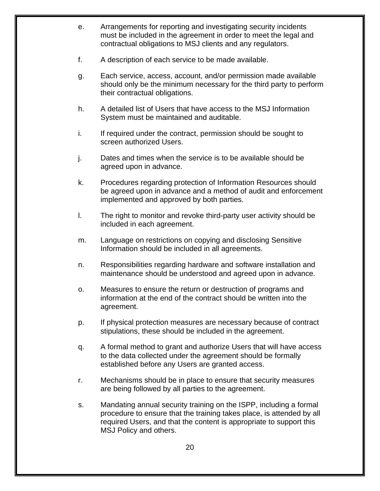- e. Arrangements for reporting and investigating security incidents must be included in the agreement in order to meet the legal and contractual obligations to MSJ clients and any regulators.
- f. A description of each service to be made available.
- g. Each service, access, account, and/or permission made available should only be the minimum necessary for the third party to perform their contractual obligations.
- h. A detailed list of Users that have access to the MSJ Information System must be maintained and auditable.
- i. If required under the contract, permission should be sought to screen authorized Users.
- j. Dates and times when the service is to be available should be agreed upon in advance.
- k. Procedures regarding protection of Information Resources should be agreed upon in advance and a method of audit and enforcement implemented and approved by both parties.
- l. The right to monitor and revoke third-party user activity should be included in each agreement.
- m. Language on restrictions on copying and disclosing Sensitive Information should be included in all agreements.
- n. Responsibilities regarding hardware and software installation and maintenance should be understood and agreed upon in advance.
- o. Measures to ensure the return or destruction of programs and information at the end of the contract should be written into the agreement.
- p. If physical protection measures are necessary because of contract stipulations, these should be included in the agreement.
- q. A formal method to grant and authorize Users that will have access to the data collected under the agreement should be formally established before any Users are granted access.
- r. Mechanisms should be in place to ensure that security measures are being followed by all parties to the agreement.
- s. Mandating annual security training on the ISPP, including a formal procedure to ensure that the training takes place, is attended by all required Users, and that the content is appropriate to support this MSJ Policy and others.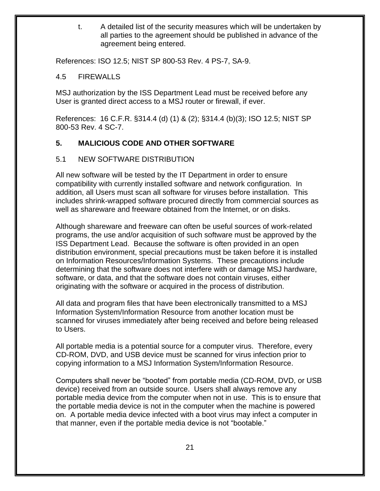t. A detailed list of the security measures which will be undertaken by all parties to the agreement should be published in advance of the agreement being entered.

<span id="page-20-0"></span>References: ISO 12.5; NIST SP 800-53 Rev. 4 PS-7, SA-9.

#### 4.5 FIREWALLS

MSJ authorization by the ISS Department Lead must be received before any User is granted direct access to a MSJ router or firewall, if ever.

References: 16 C.F.R. §314.4 (d) (1) & (2); §314.4 (b)(3); ISO 12.5; NIST SP 800-53 Rev. 4 SC-7.

# <span id="page-20-1"></span>**5. MALICIOUS CODE AND OTHER SOFTWARE**

#### <span id="page-20-2"></span>5.1 NEW SOFTWARE DISTRIBUTION

All new software will be tested by the IT Department in order to ensure compatibility with currently installed software and network configuration. In addition, all Users must scan all software for viruses before installation. This includes shrink-wrapped software procured directly from commercial sources as well as shareware and freeware obtained from the Internet, or on disks.

Although shareware and freeware can often be useful sources of work-related programs, the use and/or acquisition of such software must be approved by the ISS Department Lead. Because the software is often provided in an open distribution environment, special precautions must be taken before it is installed on Information Resources/Information Systems. These precautions include determining that the software does not interfere with or damage MSJ hardware, software, or data, and that the software does not contain viruses, either originating with the software or acquired in the process of distribution.

All data and program files that have been electronically transmitted to a MSJ Information System/Information Resource from another location must be scanned for viruses immediately after being received and before being released to Users.

All portable media is a potential source for a computer virus. Therefore, every CD-ROM, DVD, and USB device must be scanned for virus infection prior to copying information to a MSJ Information System/Information Resource.

Computers shall never be "booted" from portable media (CD-ROM, DVD, or USB device) received from an outside source. Users shall always remove any portable media device from the computer when not in use. This is to ensure that the portable media device is not in the computer when the machine is powered on. A portable media device infected with a boot virus may infect a computer in that manner, even if the portable media device is not "bootable."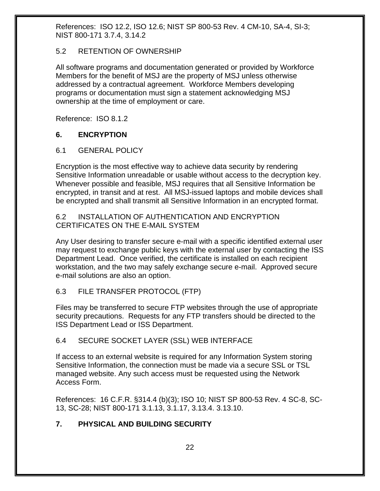References: ISO 12.2, ISO 12.6; NIST SP 800-53 Rev. 4 CM-10, SA-4, SI-3; NIST 800-171 3.7.4, 3.14.2

#### <span id="page-21-0"></span>5.2 RETENTION OF OWNERSHIP

All software programs and documentation generated or provided by Workforce Members for the benefit of MSJ are the property of MSJ unless otherwise addressed by a contractual agreement. Workforce Members developing programs or documentation must sign a statement acknowledging MSJ ownership at the time of employment or care.

<span id="page-21-1"></span>Reference: ISO 8.1.2

#### **6. ENCRYPTION**

#### <span id="page-21-2"></span>6.1 GENERAL POLICY

Encryption is the most effective way to achieve data security by rendering Sensitive Information unreadable or usable without access to the decryption key. Whenever possible and feasible, MSJ requires that all Sensitive Information be encrypted, in transit and at rest. All MSJ-issued laptops and mobile devices shall be encrypted and shall transmit all Sensitive Information in an encrypted format.

#### <span id="page-21-3"></span>6.2 INSTALLATION OF AUTHENTICATION AND ENCRYPTION CERTIFICATES ON THE E-MAIL SYSTEM

Any User desiring to transfer secure e-mail with a specific identified external user may request to exchange public keys with the external user by contacting the ISS Department Lead. Once verified, the certificate is installed on each recipient workstation, and the two may safely exchange secure e-mail. Approved secure e-mail solutions are also an option.

#### <span id="page-21-4"></span>6.3 FILE TRANSFER PROTOCOL (FTP)

Files may be transferred to secure FTP websites through the use of appropriate security precautions. Requests for any FTP transfers should be directed to the ISS Department Lead or ISS Department.

#### <span id="page-21-5"></span>6.4 SECURE SOCKET LAYER (SSL) WEB INTERFACE

If access to an external website is required for any Information System storing Sensitive Information, the connection must be made via a secure SSL or TSL managed website. Any such access must be requested using the Network Access Form.

References: 16 C.F.R. §314.4 (b)(3); ISO 10; NIST SP 800-53 Rev. 4 SC-8, SC-13, SC-28; NIST 800-171 3.1.13, 3.1.17, 3.13.4. 3.13.10.

# <span id="page-21-6"></span>**7. PHYSICAL AND BUILDING SECURITY**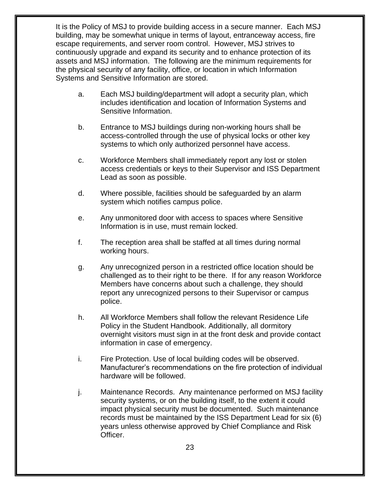It is the Policy of MSJ to provide building access in a secure manner. Each MSJ building, may be somewhat unique in terms of layout, entranceway access, fire escape requirements, and server room control. However, MSJ strives to continuously upgrade and expand its security and to enhance protection of its assets and MSJ information. The following are the minimum requirements for the physical security of any facility, office, or location in which Information Systems and Sensitive Information are stored.

- a. Each MSJ building/department will adopt a security plan, which includes identification and location of Information Systems and Sensitive Information.
- b. Entrance to MSJ buildings during non-working hours shall be access-controlled through the use of physical locks or other key systems to which only authorized personnel have access.
- c. Workforce Members shall immediately report any lost or stolen access credentials or keys to their Supervisor and ISS Department Lead as soon as possible.
- d. Where possible, facilities should be safeguarded by an alarm system which notifies campus police.
- e. Any unmonitored door with access to spaces where Sensitive Information is in use, must remain locked.
- f. The reception area shall be staffed at all times during normal working hours.
- g. Any unrecognized person in a restricted office location should be challenged as to their right to be there. If for any reason Workforce Members have concerns about such a challenge, they should report any unrecognized persons to their Supervisor or campus police.
- h. All Workforce Members shall follow the relevant Residence Life Policy in the Student Handbook. Additionally, all dormitory overnight visitors must sign in at the front desk and provide contact information in case of emergency.
- i. Fire Protection. Use of local building codes will be observed. Manufacturer's recommendations on the fire protection of individual hardware will be followed.
- j. Maintenance Records. Any maintenance performed on MSJ facility security systems, or on the building itself, to the extent it could impact physical security must be documented. Such maintenance records must be maintained by the ISS Department Lead for six (6) years unless otherwise approved by Chief Compliance and Risk Officer.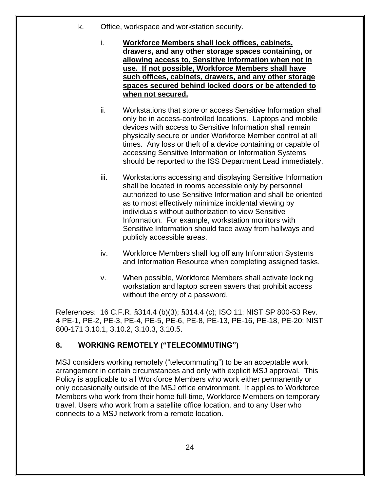- k. Office, workspace and workstation security.
	- i. **Workforce Members shall lock offices, cabinets, drawers, and any other storage spaces containing, or allowing access to, Sensitive Information when not in use. If not possible, Workforce Members shall have such offices, cabinets, drawers, and any other storage spaces secured behind locked doors or be attended to when not secured.**
	- ii. Workstations that store or access Sensitive Information shall only be in access-controlled locations. Laptops and mobile devices with access to Sensitive Information shall remain physically secure or under Workforce Member control at all times. Any loss or theft of a device containing or capable of accessing Sensitive Information or Information Systems should be reported to the ISS Department Lead immediately.
	- iii. Workstations accessing and displaying Sensitive Information shall be located in rooms accessible only by personnel authorized to use Sensitive Information and shall be oriented as to most effectively minimize incidental viewing by individuals without authorization to view Sensitive Information. For example, workstation monitors with Sensitive Information should face away from hallways and publicly accessible areas.
	- iv. Workforce Members shall log off any Information Systems and Information Resource when completing assigned tasks.
	- v. When possible, Workforce Members shall activate locking workstation and laptop screen savers that prohibit access without the entry of a password.

References: 16 C.F.R. §314.4 (b)(3); §314.4 (c); ISO 11; NIST SP 800-53 Rev. 4 PE-1, PE-2, PE-3, PE-4, PE-5, PE-6, PE-8, PE-13, PE-16, PE-18, PE-20; NIST 800-171 3.10.1, 3.10.2, 3.10.3, 3.10.5.

# <span id="page-23-0"></span>**8. WORKING REMOTELY ("TELECOMMUTING")**

MSJ considers working remotely ("telecommuting") to be an acceptable work arrangement in certain circumstances and only with explicit MSJ approval. This Policy is applicable to all Workforce Members who work either permanently or only occasionally outside of the MSJ office environment. It applies to Workforce Members who work from their home full-time, Workforce Members on temporary travel, Users who work from a satellite office location, and to any User who connects to a MSJ network from a remote location.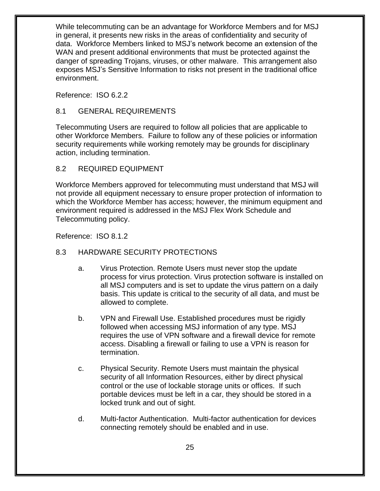While telecommuting can be an advantage for Workforce Members and for MSJ in general, it presents new risks in the areas of confidentiality and security of data. Workforce Members linked to MSJ's network become an extension of the WAN and present additional environments that must be protected against the danger of spreading Trojans, viruses, or other malware. This arrangement also exposes MSJ's Sensitive Information to risks not present in the traditional office environment.

Reference: ISO 6.2.2

#### <span id="page-24-0"></span>8.1 GENERAL REQUIREMENTS

Telecommuting Users are required to follow all policies that are applicable to other Workforce Members. Failure to follow any of these policies or information security requirements while working remotely may be grounds for disciplinary action, including termination.

#### <span id="page-24-1"></span>8.2 REQUIRED EQUIPMENT

Workforce Members approved for telecommuting must understand that MSJ will not provide all equipment necessary to ensure proper protection of information to which the Workforce Member has access; however, the minimum equipment and environment required is addressed in the MSJ Flex Work Schedule and Telecommuting policy.

Reference: ISO 8.1.2

#### <span id="page-24-2"></span>8.3 HARDWARE SECURITY PROTECTIONS

- a. Virus Protection. Remote Users must never stop the update process for virus protection. Virus protection software is installed on all MSJ computers and is set to update the virus pattern on a daily basis. This update is critical to the security of all data, and must be allowed to complete.
- b. VPN and Firewall Use. Established procedures must be rigidly followed when accessing MSJ information of any type. MSJ requires the use of VPN software and a firewall device for remote access. Disabling a firewall or failing to use a VPN is reason for termination.
- c. Physical Security. Remote Users must maintain the physical security of all Information Resources, either by direct physical control or the use of lockable storage units or offices. If such portable devices must be left in a car, they should be stored in a locked trunk and out of sight.
- d. Multi-factor Authentication. Multi-factor authentication for devices connecting remotely should be enabled and in use.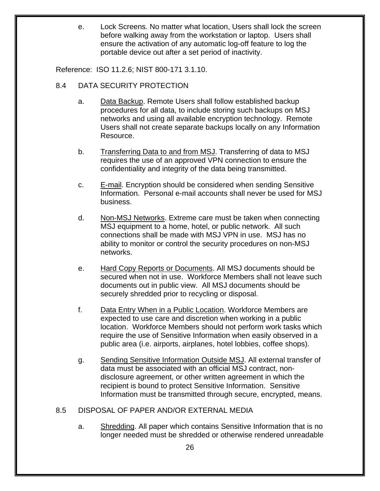e. Lock Screens. No matter what location, Users shall lock the screen before walking away from the workstation or laptop. Users shall ensure the activation of any automatic log-off feature to log the portable device out after a set period of inactivity.

Reference: ISO 11.2.6; NIST 800-171 3.1.10.

- <span id="page-25-0"></span>8.4 DATA SECURITY PROTECTION
	- a. Data Backup. Remote Users shall follow established backup procedures for all data, to include storing such backups on MSJ networks and using all available encryption technology. Remote Users shall not create separate backups locally on any Information Resource.
	- b. Transferring Data to and from MSJ. Transferring of data to MSJ requires the use of an approved VPN connection to ensure the confidentiality and integrity of the data being transmitted.
	- c. E-mail. Encryption should be considered when sending Sensitive Information. Personal e-mail accounts shall never be used for MSJ business.
	- d. Non-MSJ Networks. Extreme care must be taken when connecting MSJ equipment to a home, hotel, or public network. All such connections shall be made with MSJ VPN in use. MSJ has no ability to monitor or control the security procedures on non-MSJ networks.
	- e. Hard Copy Reports or Documents. All MSJ documents should be secured when not in use. Workforce Members shall not leave such documents out in public view. All MSJ documents should be securely shredded prior to recycling or disposal.
	- f. Data Entry When in a Public Location. Workforce Members are expected to use care and discretion when working in a public location. Workforce Members should not perform work tasks which require the use of Sensitive Information when easily observed in a public area (i.e. airports, airplanes, hotel lobbies, coffee shops).
	- g. Sending Sensitive Information Outside MSJ. All external transfer of data must be associated with an official MSJ contract, nondisclosure agreement, or other written agreement in which the recipient is bound to protect Sensitive Information. Sensitive Information must be transmitted through secure, encrypted, means.

# <span id="page-25-1"></span>8.5 DISPOSAL OF PAPER AND/OR EXTERNAL MEDIA

a. Shredding. All paper which contains Sensitive Information that is no longer needed must be shredded or otherwise rendered unreadable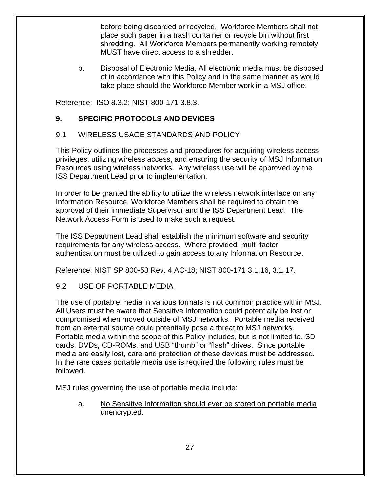before being discarded or recycled. Workforce Members shall not place such paper in a trash container or recycle bin without first shredding. All Workforce Members permanently working remotely MUST have direct access to a shredder.

b. Disposal of Electronic Media. All electronic media must be disposed of in accordance with this Policy and in the same manner as would take place should the Workforce Member work in a MSJ office.

Reference: ISO 8.3.2; NIST 800-171 3.8.3.

# <span id="page-26-0"></span>**9. SPECIFIC PROTOCOLS AND DEVICES**

# <span id="page-26-1"></span>9.1 WIRELESS USAGE STANDARDS AND POLICY

This Policy outlines the processes and procedures for acquiring wireless access privileges, utilizing wireless access, and ensuring the security of MSJ Information Resources using wireless networks. Any wireless use will be approved by the ISS Department Lead prior to implementation.

In order to be granted the ability to utilize the wireless network interface on any Information Resource, Workforce Members shall be required to obtain the approval of their immediate Supervisor and the ISS Department Lead. The Network Access Form is used to make such a request.

The ISS Department Lead shall establish the minimum software and security requirements for any wireless access. Where provided, multi-factor authentication must be utilized to gain access to any Information Resource.

Reference: NIST SP 800-53 Rev. 4 AC-18; NIST 800-171 3.1.16, 3.1.17.

# <span id="page-26-2"></span>9.2 USE OF PORTABLE MEDIA

The use of portable media in various formats is not common practice within MSJ. All Users must be aware that Sensitive Information could potentially be lost or compromised when moved outside of MSJ networks. Portable media received from an external source could potentially pose a threat to MSJ networks. Portable media within the scope of this Policy includes, but is not limited to, SD cards, DVDs, CD-ROMs, and USB "thumb" or "flash" drives. Since portable media are easily lost, care and protection of these devices must be addressed. In the rare cases portable media use is required the following rules must be followed.

MSJ rules governing the use of portable media include:

a. No Sensitive Information should ever be stored on portable media unencrypted.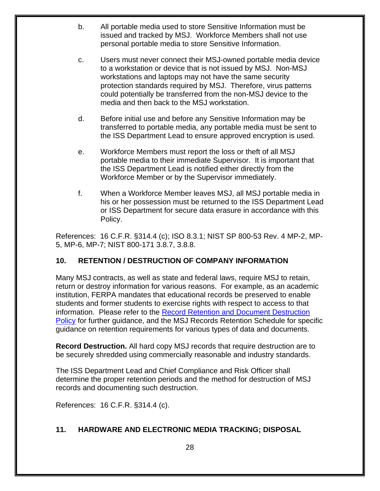- b. All portable media used to store Sensitive Information must be issued and tracked by MSJ. Workforce Members shall not use personal portable media to store Sensitive Information.
- c. Users must never connect their MSJ-owned portable media device to a workstation or device that is not issued by MSJ. Non-MSJ workstations and laptops may not have the same security protection standards required by MSJ. Therefore, virus patterns could potentially be transferred from the non-MSJ device to the media and then back to the MSJ workstation.
- d. Before initial use and before any Sensitive Information may be transferred to portable media, any portable media must be sent to the ISS Department Lead to ensure approved encryption is used.
- e. Workforce Members must report the loss or theft of all MSJ portable media to their immediate Supervisor. It is important that the ISS Department Lead is notified either directly from the Workforce Member or by the Supervisor immediately.
- f. When a Workforce Member leaves MSJ, all MSJ portable media in his or her possession must be returned to the ISS Department Lead or ISS Department for secure data erasure in accordance with this Policy.

References: 16 C.F.R. §314.4 (c); ISO 8.3.1; NIST SP 800-53 Rev. 4 MP-2, MP-5, MP-6, MP-7; NIST 800-171 3.8.7, 3.8.8.

# <span id="page-27-0"></span>**10. RETENTION / DESTRUCTION OF COMPANY INFORMATION**

Many MSJ contracts, as well as state and federal laws, require MSJ to retain, return or destroy information for various reasons. For example, as an academic institution, FERPA mandates that educational records be preserved to enable students and former students to exercise rights with respect to access to that information. Please refer to the [Record Retention and Document Destruction](https://mymount.msj.edu/ICS/icsfs/Record_Retention_and_Document_Destruction.pdf?target=9aef7503-c007-42aa-b812-197617fe3437)  [Policy](https://mymount.msj.edu/ICS/icsfs/Record_Retention_and_Document_Destruction.pdf?target=9aef7503-c007-42aa-b812-197617fe3437) for further guidance, and the MSJ Records Retention Schedule for specific guidance on retention requirements for various types of data and documents.

**Record Destruction.** All hard copy MSJ records that require destruction are to be securely shredded using commercially reasonable and industry standards.

The ISS Department Lead and Chief Compliance and Risk Officer shall determine the proper retention periods and the method for destruction of MSJ records and documenting such destruction.

References: 16 C.F.R. §314.4 (c).

# <span id="page-27-1"></span>**11. HARDWARE AND ELECTRONIC MEDIA TRACKING; DISPOSAL**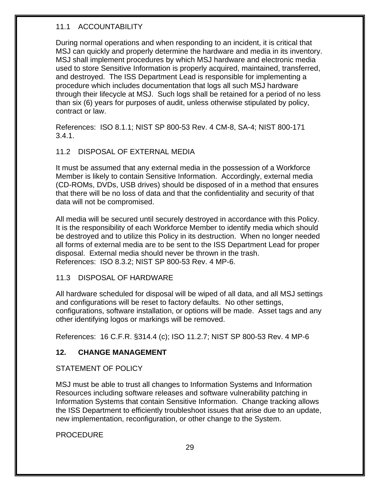## <span id="page-28-0"></span>11.1 ACCOUNTABILITY

During normal operations and when responding to an incident, it is critical that MSJ can quickly and properly determine the hardware and media in its inventory. MSJ shall implement procedures by which MSJ hardware and electronic media used to store Sensitive Information is properly acquired, maintained, transferred, and destroyed. The ISS Department Lead is responsible for implementing a procedure which includes documentation that logs all such MSJ hardware through their lifecycle at MSJ. Such logs shall be retained for a period of no less than six (6) years for purposes of audit, unless otherwise stipulated by policy, contract or law.

References: ISO 8.1.1; NIST SP 800-53 Rev. 4 CM-8, SA-4; NIST 800-171  $3.4.1.$ 

#### <span id="page-28-1"></span>11.2 DISPOSAL OF EXTERNAL MEDIA

It must be assumed that any external media in the possession of a Workforce Member is likely to contain Sensitive Information. Accordingly, external media (CD-ROMs, DVDs, USB drives) should be disposed of in a method that ensures that there will be no loss of data and that the confidentiality and security of that data will not be compromised.

All media will be secured until securely destroyed in accordance with this Policy. It is the responsibility of each Workforce Member to identify media which should be destroyed and to utilize this Policy in its destruction. When no longer needed all forms of external media are to be sent to the ISS Department Lead for proper disposal. External media should never be thrown in the trash. References: ISO 8.3.2; NIST SP 800-53 Rev. 4 MP-6.

#### <span id="page-28-2"></span>11.3 DISPOSAL OF HARDWARE

All hardware scheduled for disposal will be wiped of all data, and all MSJ settings and configurations will be reset to factory defaults. No other settings, configurations, software installation, or options will be made. Asset tags and any other identifying logos or markings will be removed.

References: 16 C.F.R. §314.4 (c); ISO 11.2.7; NIST SP 800-53 Rev. 4 MP-6

# <span id="page-28-3"></span>**12. CHANGE MANAGEMENT**

#### STATEMENT OF POLICY

MSJ must be able to trust all changes to Information Systems and Information Resources including software releases and software vulnerability patching in Information Systems that contain Sensitive Information. Change tracking allows the ISS Department to efficiently troubleshoot issues that arise due to an update, new implementation, reconfiguration, or other change to the System.

PROCEDURE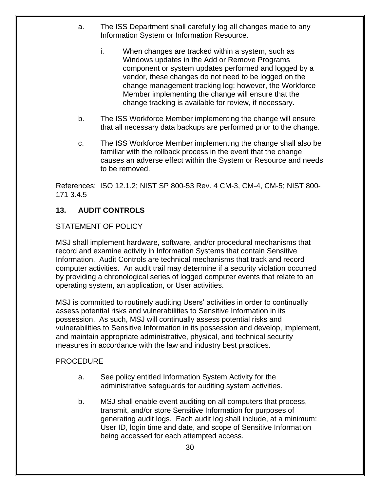- a. The ISS Department shall carefully log all changes made to any Information System or Information Resource.
	- i. When changes are tracked within a system, such as Windows updates in the Add or Remove Programs component or system updates performed and logged by a vendor, these changes do not need to be logged on the change management tracking log; however, the Workforce Member implementing the change will ensure that the change tracking is available for review, if necessary.
- b. The ISS Workforce Member implementing the change will ensure that all necessary data backups are performed prior to the change.
- c. The ISS Workforce Member implementing the change shall also be familiar with the rollback process in the event that the change causes an adverse effect within the System or Resource and needs to be removed.

References: ISO 12.1.2; NIST SP 800-53 Rev. 4 CM-3, CM-4, CM-5; NIST 800- 171 3.4.5

# <span id="page-29-0"></span>**13. AUDIT CONTROLS**

#### STATEMENT OF POLICY

MSJ shall implement hardware, software, and/or procedural mechanisms that record and examine activity in Information Systems that contain Sensitive Information. Audit Controls are technical mechanisms that track and record computer activities. An audit trail may determine if a security violation occurred by providing a chronological series of logged computer events that relate to an operating system, an application, or User activities.

MSJ is committed to routinely auditing Users' activities in order to continually assess potential risks and vulnerabilities to Sensitive Information in its possession. As such, MSJ will continually assess potential risks and vulnerabilities to Sensitive Information in its possession and develop, implement, and maintain appropriate administrative, physical, and technical security measures in accordance with the law and industry best practices.

#### PROCEDURE

- a. See policy entitled Information System Activity for the administrative safeguards for auditing system activities.
- b. MSJ shall enable event auditing on all computers that process, transmit, and/or store Sensitive Information for purposes of generating audit logs. Each audit log shall include, at a minimum: User ID, login time and date, and scope of Sensitive Information being accessed for each attempted access.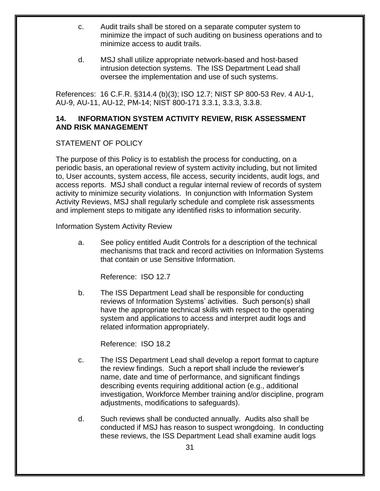- c. Audit trails shall be stored on a separate computer system to minimize the impact of such auditing on business operations and to minimize access to audit trails.
- d. MSJ shall utilize appropriate network-based and host-based intrusion detection systems. The ISS Department Lead shall oversee the implementation and use of such systems.

References: 16 C.F.R. §314.4 (b)(3); ISO 12.7; NIST SP 800-53 Rev. 4 AU-1, AU-9, AU-11, AU-12, PM-14; NIST 800-171 3.3.1, 3.3.3, 3.3.8.

# <span id="page-30-0"></span>**14. INFORMATION SYSTEM ACTIVITY REVIEW, RISK ASSESSMENT AND RISK MANAGEMENT**

# STATEMENT OF POLICY

The purpose of this Policy is to establish the process for conducting, on a periodic basis, an operational review of system activity including, but not limited to, User accounts, system access, file access, security incidents, audit logs, and access reports. MSJ shall conduct a regular internal review of records of system activity to minimize security violations. In conjunction with Information System Activity Reviews, MSJ shall regularly schedule and complete risk assessments and implement steps to mitigate any identified risks to information security.

<span id="page-30-1"></span>Information System Activity Review

a. See policy entitled Audit Controls for a description of the technical mechanisms that track and record activities on Information Systems that contain or use Sensitive Information.

Reference: ISO 12.7

b. The ISS Department Lead shall be responsible for conducting reviews of Information Systems' activities. Such person(s) shall have the appropriate technical skills with respect to the operating system and applications to access and interpret audit logs and related information appropriately.

Reference: ISO 18.2

- c. The ISS Department Lead shall develop a report format to capture the review findings. Such a report shall include the reviewer's name, date and time of performance, and significant findings describing events requiring additional action (e.g., additional investigation, Workforce Member training and/or discipline, program adjustments, modifications to safeguards).
- d. Such reviews shall be conducted annually. Audits also shall be conducted if MSJ has reason to suspect wrongdoing. In conducting these reviews, the ISS Department Lead shall examine audit logs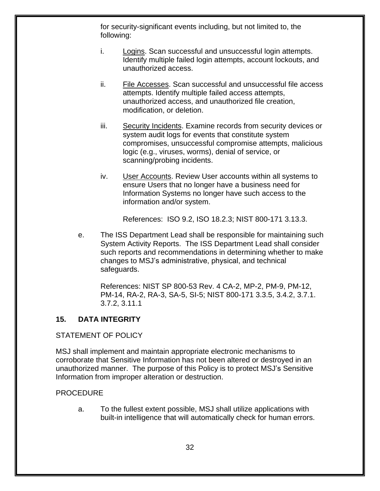for security-significant events including, but not limited to, the following:

- i. Logins. Scan successful and unsuccessful login attempts. Identify multiple failed login attempts, account lockouts, and unauthorized access.
- ii. File Accesses. Scan successful and unsuccessful file access attempts. Identify multiple failed access attempts, unauthorized access, and unauthorized file creation, modification, or deletion.
- iii. Security Incidents. Examine records from security devices or system audit logs for events that constitute system compromises, unsuccessful compromise attempts, malicious logic (e.g., viruses, worms), denial of service, or scanning/probing incidents.
- iv. User Accounts. Review User accounts within all systems to ensure Users that no longer have a business need for Information Systems no longer have such access to the information and/or system.

References: ISO 9.2, ISO 18.2.3; NIST 800-171 3.13.3.

e. The ISS Department Lead shall be responsible for maintaining such System Activity Reports. The ISS Department Lead shall consider such reports and recommendations in determining whether to make changes to MSJ's administrative, physical, and technical safeguards.

References: NIST SP 800-53 Rev. 4 CA-2, MP-2, PM-9, PM-12, PM-14, RA-2, RA-3, SA-5, SI-5; NIST 800-171 3.3.5, 3.4.2, 3.7.1. 3.7.2, 3.11.1

# <span id="page-31-0"></span>**15. DATA INTEGRITY**

# STATEMENT OF POLICY

MSJ shall implement and maintain appropriate electronic mechanisms to corroborate that Sensitive Information has not been altered or destroyed in an unauthorized manner. The purpose of this Policy is to protect MSJ's Sensitive Information from improper alteration or destruction.

#### PROCEDURE

a. To the fullest extent possible, MSJ shall utilize applications with built-in intelligence that will automatically check for human errors.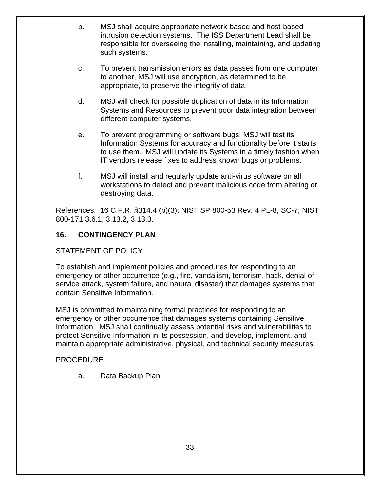- b. MSJ shall acquire appropriate network-based and host-based intrusion detection systems. The ISS Department Lead shall be responsible for overseeing the installing, maintaining, and updating such systems.
- c. To prevent transmission errors as data passes from one computer to another, MSJ will use encryption, as determined to be appropriate, to preserve the integrity of data.
- d. MSJ will check for possible duplication of data in its Information Systems and Resources to prevent poor data integration between different computer systems.
- e. To prevent programming or software bugs, MSJ will test its Information Systems for accuracy and functionality before it starts to use them. MSJ will update its Systems in a timely fashion when IT vendors release fixes to address known bugs or problems.
- f. MSJ will install and regularly update anti-virus software on all workstations to detect and prevent malicious code from altering or destroying data.

References: 16 C.F.R. §314.4 (b)(3); NIST SP 800-53 Rev. 4 PL-8, SC-7; NIST 800-171 3.6.1, 3.13.2, 3.13.3.

# <span id="page-32-0"></span>**16. CONTINGENCY PLAN**

# STATEMENT OF POLICY

To establish and implement policies and procedures for responding to an emergency or other occurrence (e.g., fire, vandalism, terrorism, hack, denial of service attack, system failure, and natural disaster) that damages systems that contain Sensitive Information.

MSJ is committed to maintaining formal practices for responding to an emergency or other occurrence that damages systems containing Sensitive Information. MSJ shall continually assess potential risks and vulnerabilities to protect Sensitive Information in its possession, and develop, implement, and maintain appropriate administrative, physical, and technical security measures.

#### PROCEDURE

a. Data Backup Plan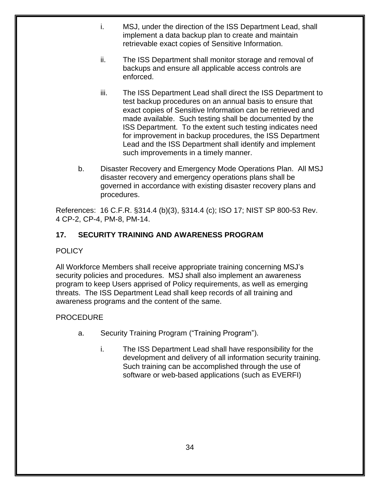- i. MSJ, under the direction of the ISS Department Lead, shall implement a data backup plan to create and maintain retrievable exact copies of Sensitive Information.
- ii. The ISS Department shall monitor storage and removal of backups and ensure all applicable access controls are enforced.
- iii. The ISS Department Lead shall direct the ISS Department to test backup procedures on an annual basis to ensure that exact copies of Sensitive Information can be retrieved and made available. Such testing shall be documented by the ISS Department. To the extent such testing indicates need for improvement in backup procedures, the ISS Department Lead and the ISS Department shall identify and implement such improvements in a timely manner.
- b. Disaster Recovery and Emergency Mode Operations Plan. All MSJ disaster recovery and emergency operations plans shall be governed in accordance with existing disaster recovery plans and procedures.

References: 16 C.F.R. §314.4 (b)(3), §314.4 (c); ISO 17; NIST SP 800-53 Rev. 4 CP-2, CP-4, PM-8, PM-14.

# <span id="page-33-0"></span>**17. SECURITY TRAINING AND AWARENESS PROGRAM**

# **POLICY**

All Workforce Members shall receive appropriate training concerning MSJ's security policies and procedures. MSJ shall also implement an awareness program to keep Users apprised of Policy requirements, as well as emerging threats. The ISS Department Lead shall keep records of all training and awareness programs and the content of the same.

# PROCEDURE

- a. Security Training Program ("Training Program").
	- i. The ISS Department Lead shall have responsibility for the development and delivery of all information security training. Such training can be accomplished through the use of software or web-based applications (such as EVERFI)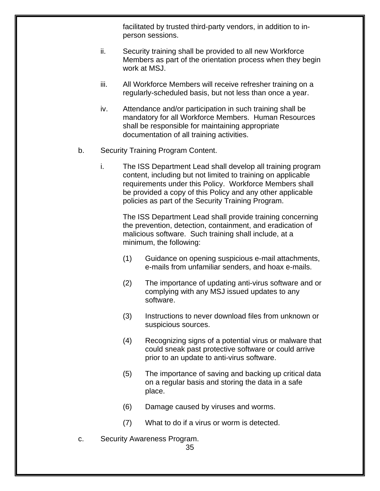facilitated by trusted third-party vendors, in addition to inperson sessions.

- ii. Security training shall be provided to all new Workforce Members as part of the orientation process when they begin work at MSJ.
- iii. All Workforce Members will receive refresher training on a regularly-scheduled basis, but not less than once a year.
- iv. Attendance and/or participation in such training shall be mandatory for all Workforce Members. Human Resources shall be responsible for maintaining appropriate documentation of all training activities.
- b. Security Training Program Content.
	- i. The ISS Department Lead shall develop all training program content, including but not limited to training on applicable requirements under this Policy. Workforce Members shall be provided a copy of this Policy and any other applicable policies as part of the Security Training Program.

The ISS Department Lead shall provide training concerning the prevention, detection, containment, and eradication of malicious software. Such training shall include, at a minimum, the following:

- (1) Guidance on opening suspicious e-mail attachments, e-mails from unfamiliar senders, and hoax e-mails.
- (2) The importance of updating anti-virus software and or complying with any MSJ issued updates to any software.
- (3) Instructions to never download files from unknown or suspicious sources.
- (4) Recognizing signs of a potential virus or malware that could sneak past protective software or could arrive prior to an update to anti-virus software.
- (5) The importance of saving and backing up critical data on a regular basis and storing the data in a safe place.
- (6) Damage caused by viruses and worms.
- (7) What to do if a virus or worm is detected.
- c. Security Awareness Program.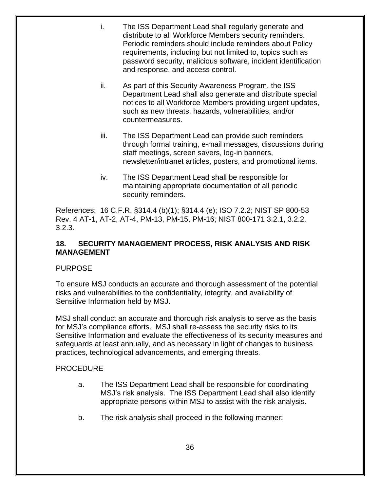- i. The ISS Department Lead shall regularly generate and distribute to all Workforce Members security reminders. Periodic reminders should include reminders about Policy requirements, including but not limited to, topics such as password security, malicious software, incident identification and response, and access control.
- ii. As part of this Security Awareness Program, the ISS Department Lead shall also generate and distribute special notices to all Workforce Members providing urgent updates, such as new threats, hazards, vulnerabilities, and/or countermeasures.
- iii. The ISS Department Lead can provide such reminders through formal training, e-mail messages, discussions during staff meetings, screen savers, log-in banners, newsletter/intranet articles, posters, and promotional items.
- iv. The ISS Department Lead shall be responsible for maintaining appropriate documentation of all periodic security reminders.

References: 16 C.F.R. §314.4 (b)(1); §314.4 (e); ISO 7.2.2; NIST SP 800-53 Rev. 4 AT-1, AT-2, AT-4, PM-13, PM-15, PM-16; NIST 800-171 3.2.1, 3.2.2, 3.2.3.

# <span id="page-35-0"></span>**18. SECURITY MANAGEMENT PROCESS, RISK ANALYSIS AND RISK MANAGEMENT**

# **PURPOSE**

To ensure MSJ conducts an accurate and thorough assessment of the potential risks and vulnerabilities to the confidentiality, integrity, and availability of Sensitive Information held by MSJ.

MSJ shall conduct an accurate and thorough risk analysis to serve as the basis for MSJ's compliance efforts. MSJ shall re-assess the security risks to its Sensitive Information and evaluate the effectiveness of its security measures and safeguards at least annually, and as necessary in light of changes to business practices, technological advancements, and emerging threats.

# PROCEDURE

- a. The ISS Department Lead shall be responsible for coordinating MSJ's risk analysis. The ISS Department Lead shall also identify appropriate persons within MSJ to assist with the risk analysis.
- b. The risk analysis shall proceed in the following manner: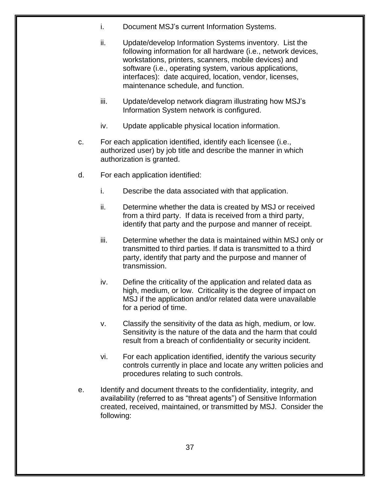- i. Document MSJ's current Information Systems.
- ii. Update/develop Information Systems inventory. List the following information for all hardware (i.e., network devices, workstations, printers, scanners, mobile devices) and software (i.e., operating system, various applications, interfaces): date acquired, location, vendor, licenses, maintenance schedule, and function.
- iii. Update/develop network diagram illustrating how MSJ's Information System network is configured.
- iv. Update applicable physical location information.
- c. For each application identified, identify each licensee (i.e., authorized user) by job title and describe the manner in which authorization is granted.
- d. For each application identified:
	- i. Describe the data associated with that application.
	- ii. Determine whether the data is created by MSJ or received from a third party. If data is received from a third party, identify that party and the purpose and manner of receipt.
	- iii. Determine whether the data is maintained within MSJ only or transmitted to third parties. If data is transmitted to a third party, identify that party and the purpose and manner of transmission.
	- iv. Define the criticality of the application and related data as high, medium, or low. Criticality is the degree of impact on MSJ if the application and/or related data were unavailable for a period of time.
	- v. Classify the sensitivity of the data as high, medium, or low. Sensitivity is the nature of the data and the harm that could result from a breach of confidentiality or security incident.
	- vi. For each application identified, identify the various security controls currently in place and locate any written policies and procedures relating to such controls.
- e. Identify and document threats to the confidentiality, integrity, and availability (referred to as "threat agents") of Sensitive Information created, received, maintained, or transmitted by MSJ. Consider the following: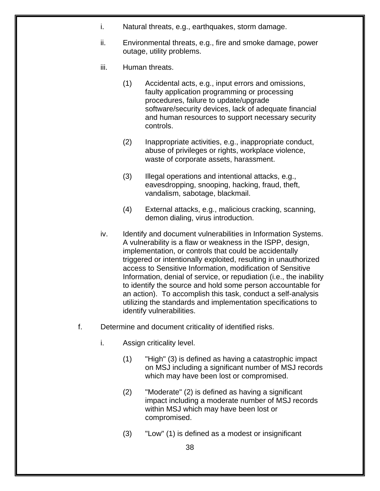- i. Natural threats, e.g., earthquakes, storm damage.
- ii. Environmental threats, e.g., fire and smoke damage, power outage, utility problems.
- iii. Human threats.
	- (1) Accidental acts, e.g., input errors and omissions, faulty application programming or processing procedures, failure to update/upgrade software/security devices, lack of adequate financial and human resources to support necessary security controls.
	- (2) Inappropriate activities, e.g., inappropriate conduct, abuse of privileges or rights, workplace violence, waste of corporate assets, harassment.
	- (3) Illegal operations and intentional attacks, e.g., eavesdropping, snooping, hacking, fraud, theft, vandalism, sabotage, blackmail.
	- (4) External attacks, e.g., malicious cracking, scanning, demon dialing, virus introduction.
- iv. Identify and document vulnerabilities in Information Systems. A vulnerability is a flaw or weakness in the ISPP, design, implementation, or controls that could be accidentally triggered or intentionally exploited, resulting in unauthorized access to Sensitive Information, modification of Sensitive Information, denial of service, or repudiation (i.e., the inability to identify the source and hold some person accountable for an action). To accomplish this task, conduct a self-analysis utilizing the standards and implementation specifications to identify vulnerabilities.
- f. Determine and document criticality of identified risks.
	- i. Assign criticality level.
		- (1) "High" (3) is defined as having a catastrophic impact on MSJ including a significant number of MSJ records which may have been lost or compromised.
		- (2) "Moderate" (2) is defined as having a significant impact including a moderate number of MSJ records within MSJ which may have been lost or compromised.
		- (3) "Low" (1) is defined as a modest or insignificant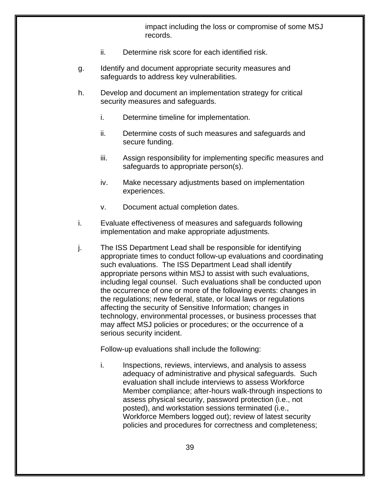impact including the loss or compromise of some MSJ records.

- ii. Determine risk score for each identified risk.
- g. Identify and document appropriate security measures and safeguards to address key vulnerabilities.
- h. Develop and document an implementation strategy for critical security measures and safeguards.
	- i. Determine timeline for implementation.
	- ii. Determine costs of such measures and safeguards and secure funding.
	- iii. Assign responsibility for implementing specific measures and safeguards to appropriate person(s).
	- iv. Make necessary adjustments based on implementation experiences.
	- v. Document actual completion dates.
- i. Evaluate effectiveness of measures and safeguards following implementation and make appropriate adjustments.
- j. The ISS Department Lead shall be responsible for identifying appropriate times to conduct follow-up evaluations and coordinating such evaluations. The ISS Department Lead shall identify appropriate persons within MSJ to assist with such evaluations, including legal counsel. Such evaluations shall be conducted upon the occurrence of one or more of the following events: changes in the regulations; new federal, state, or local laws or regulations affecting the security of Sensitive Information; changes in technology, environmental processes, or business processes that may affect MSJ policies or procedures; or the occurrence of a serious security incident.

Follow-up evaluations shall include the following:

i. Inspections, reviews, interviews, and analysis to assess adequacy of administrative and physical safeguards. Such evaluation shall include interviews to assess Workforce Member compliance; after-hours walk-through inspections to assess physical security, password protection (i.e., not posted), and workstation sessions terminated (i.e., Workforce Members logged out); review of latest security policies and procedures for correctness and completeness;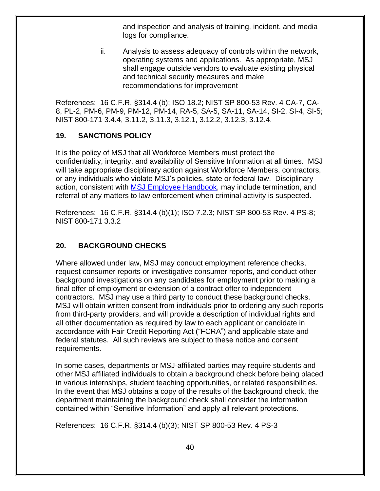and inspection and analysis of training, incident, and media logs for compliance.

ii. Analysis to assess adequacy of controls within the network, operating systems and applications. As appropriate, MSJ shall engage outside vendors to evaluate existing physical and technical security measures and make recommendations for improvement

References: 16 C.F.R. §314.4 (b); ISO 18.2; NIST SP 800-53 Rev. 4 CA-7, CA-8, PL-2, PM-6, PM-9, PM-12, PM-14, RA-5, SA-5, SA-11, SA-14, SI-2, SI-4, SI-5; NIST 800-171 3.4.4, 3.11.2, 3.11.3, 3.12.1, 3.12.2, 3.12.3, 3.12.4.

#### <span id="page-39-0"></span>**19. SANCTIONS POLICY**

It is the policy of MSJ that all Workforce Members must protect the confidentiality, integrity, and availability of Sensitive Information at all times. MSJ will take appropriate disciplinary action against Workforce Members, contractors, or any individuals who violate MSJ's policies, state or federal law. Disciplinary action, consistent with **MSJ Employee Handbook**, may include termination, and referral of any matters to law enforcement when criminal activity is suspected.

References: 16 C.F.R. §314.4 (b)(1); ISO 7.2.3; NIST SP 800-53 Rev. 4 PS-8; NIST 800-171 3.3.2

# <span id="page-39-1"></span>**20. BACKGROUND CHECKS**

Where allowed under law, MSJ may conduct employment reference checks, request consumer reports or investigative consumer reports, and conduct other background investigations on any candidates for employment prior to making a final offer of employment or extension of a contract offer to independent contractors. MSJ may use a third party to conduct these background checks. MSJ will obtain written consent from individuals prior to ordering any such reports from third-party providers, and will provide a description of individual rights and all other documentation as required by law to each applicant or candidate in accordance with Fair Credit Reporting Act ("FCRA") and applicable state and federal statutes. All such reviews are subject to these notice and consent requirements.

In some cases, departments or MSJ-affiliated parties may require students and other MSJ affiliated individuals to obtain a background check before being placed in various internships, student teaching opportunities, or related responsibilities. In the event that MSJ obtains a copy of the results of the background check, the department maintaining the background check shall consider the information contained within "Sensitive Information" and apply all relevant protections.

References: 16 C.F.R. §314.4 (b)(3); NIST SP 800-53 Rev. 4 PS-3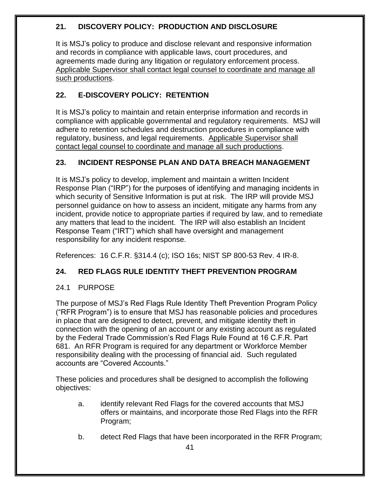# <span id="page-40-0"></span>**21. DISCOVERY POLICY: PRODUCTION AND DISCLOSURE**

It is MSJ's policy to produce and disclose relevant and responsive information and records in compliance with applicable laws, court procedures, and agreements made during any litigation or regulatory enforcement process. Applicable Supervisor shall contact legal counsel to coordinate and manage all such productions.

# <span id="page-40-1"></span>**22. E-DISCOVERY POLICY: RETENTION**

It is MSJ's policy to maintain and retain enterprise information and records in compliance with applicable governmental and regulatory requirements. MSJ will adhere to retention schedules and destruction procedures in compliance with regulatory, business, and legal requirements. Applicable Supervisor shall contact legal counsel to coordinate and manage all such productions.

# <span id="page-40-2"></span>**23. INCIDENT RESPONSE PLAN AND DATA BREACH MANAGEMENT**

It is MSJ's policy to develop, implement and maintain a written Incident Response Plan ("IRP") for the purposes of identifying and managing incidents in which security of Sensitive Information is put at risk. The IRP will provide MSJ personnel guidance on how to assess an incident, mitigate any harms from any incident, provide notice to appropriate parties if required by law, and to remediate any matters that lead to the incident. The IRP will also establish an Incident Response Team ("IRT") which shall have oversight and management responsibility for any incident response.

References: 16 C.F.R. §314.4 (c); ISO 16s; NIST SP 800-53 Rev. 4 IR-8.

# <span id="page-40-3"></span>**24. RED FLAGS RULE IDENTITY THEFT PREVENTION PROGRAM**

# <span id="page-40-4"></span>24.1 PURPOSE

The purpose of MSJ's Red Flags Rule Identity Theft Prevention Program Policy ("RFR Program") is to ensure that MSJ has reasonable policies and procedures in place that are designed to detect, prevent, and mitigate identity theft in connection with the opening of an account or any existing account as regulated by the Federal Trade Commission's Red Flags Rule Found at 16 C.F.R. Part 681. An RFR Program is required for any department or Workforce Member responsibility dealing with the processing of financial aid. Such regulated accounts are "Covered Accounts."

These policies and procedures shall be designed to accomplish the following objectives:

- a. identify relevant Red Flags for the covered accounts that MSJ offers or maintains, and incorporate those Red Flags into the RFR Program;
- b. detect Red Flags that have been incorporated in the RFR Program;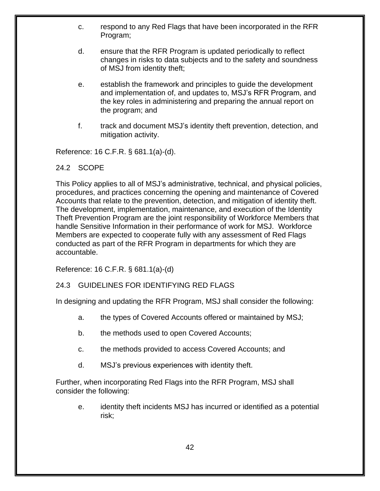- c. respond to any Red Flags that have been incorporated in the RFR Program;
- d. ensure that the RFR Program is updated periodically to reflect changes in risks to data subjects and to the safety and soundness of MSJ from identity theft;
- e. establish the framework and principles to guide the development and implementation of, and updates to, MSJ's RFR Program, and the key roles in administering and preparing the annual report on the program; and
- f. track and document MSJ's identity theft prevention, detection, and mitigation activity.

Reference: 16 C.F.R. § 681.1(a)-(d).

#### <span id="page-41-0"></span>24.2 SCOPE

This Policy applies to all of MSJ's administrative, technical, and physical policies, procedures, and practices concerning the opening and maintenance of Covered Accounts that relate to the prevention, detection, and mitigation of identity theft. The development, implementation, maintenance, and execution of the Identity Theft Prevention Program are the joint responsibility of Workforce Members that handle Sensitive Information in their performance of work for MSJ. Workforce Members are expected to cooperate fully with any assessment of Red Flags conducted as part of the RFR Program in departments for which they are accountable.

<span id="page-41-1"></span>Reference: 16 C.F.R. § 681.1(a)-(d)

#### 24.3 GUIDELINES FOR IDENTIFYING RED FLAGS

In designing and updating the RFR Program, MSJ shall consider the following:

- a. the types of Covered Accounts offered or maintained by MSJ;
- b. the methods used to open Covered Accounts;
- c. the methods provided to access Covered Accounts; and
- d. MSJ's previous experiences with identity theft.

Further, when incorporating Red Flags into the RFR Program, MSJ shall consider the following:

e. identity theft incidents MSJ has incurred or identified as a potential risk;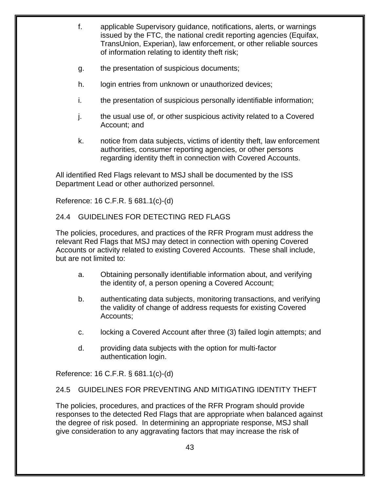- f. applicable Supervisory guidance, notifications, alerts, or warnings issued by the FTC, the national credit reporting agencies (Equifax, TransUnion, Experian), law enforcement, or other reliable sources of information relating to identity theft risk;
- g. the presentation of suspicious documents;
- h. login entries from unknown or unauthorized devices;
- i. the presentation of suspicious personally identifiable information;
- j. the usual use of, or other suspicious activity related to a Covered Account; and
- k. notice from data subjects, victims of identity theft, law enforcement authorities, consumer reporting agencies, or other persons regarding identity theft in connection with Covered Accounts.

All identified Red Flags relevant to MSJ shall be documented by the ISS Department Lead or other authorized personnel.

Reference: 16 C.F.R. § 681.1(c)-(d)

# <span id="page-42-0"></span>24.4 GUIDELINES FOR DETECTING RED FLAGS

The policies, procedures, and practices of the RFR Program must address the relevant Red Flags that MSJ may detect in connection with opening Covered Accounts or activity related to existing Covered Accounts. These shall include, but are not limited to:

- a. Obtaining personally identifiable information about, and verifying the identity of, a person opening a Covered Account;
- b. authenticating data subjects, monitoring transactions, and verifying the validity of change of address requests for existing Covered Accounts;
- c. locking a Covered Account after three (3) failed login attempts; and
- d. providing data subjects with the option for multi-factor authentication login.

Reference: 16 C.F.R. § 681.1(c)-(d)

# <span id="page-42-1"></span>24.5 GUIDELINES FOR PREVENTING AND MITIGATING IDENTITY THEFT

The policies, procedures, and practices of the RFR Program should provide responses to the detected Red Flags that are appropriate when balanced against the degree of risk posed. In determining an appropriate response, MSJ shall give consideration to any aggravating factors that may increase the risk of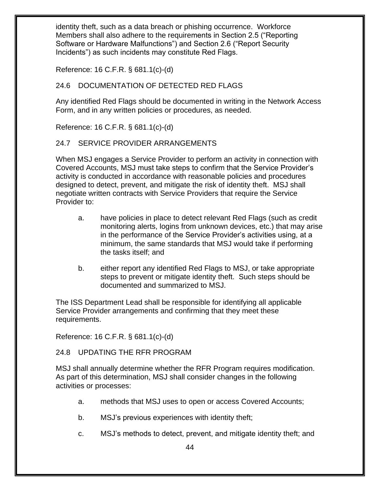identity theft, such as a data breach or phishing occurrence. Workforce Members shall also adhere to the requirements in Section 2.5 ("Reporting Software or Hardware Malfunctions") and Section 2.6 ("Report Security Incidents") as such incidents may constitute Red Flags.

Reference: 16 C.F.R. § 681.1(c)-(d)

# <span id="page-43-0"></span>24.6 DOCUMENTATION OF DETECTED RED FLAGS

Any identified Red Flags should be documented in writing in the Network Access Form, and in any written policies or procedures, as needed.

Reference: 16 C.F.R. § 681.1(c)-(d)

# <span id="page-43-1"></span>24.7 SERVICE PROVIDER ARRANGEMENTS

When MSJ engages a Service Provider to perform an activity in connection with Covered Accounts, MSJ must take steps to confirm that the Service Provider's activity is conducted in accordance with reasonable policies and procedures designed to detect, prevent, and mitigate the risk of identity theft. MSJ shall negotiate written contracts with Service Providers that require the Service Provider to:

- a. have policies in place to detect relevant Red Flags (such as credit monitoring alerts, logins from unknown devices, etc.) that may arise in the performance of the Service Provider's activities using, at a minimum, the same standards that MSJ would take if performing the tasks itself; and
- b. either report any identified Red Flags to MSJ, or take appropriate steps to prevent or mitigate identity theft. Such steps should be documented and summarized to MSJ.

The ISS Department Lead shall be responsible for identifying all applicable Service Provider arrangements and confirming that they meet these requirements.

Reference: 16 C.F.R. § 681.1(c)-(d)

<span id="page-43-2"></span>24.8 UPDATING THE RFR PROGRAM

MSJ shall annually determine whether the RFR Program requires modification. As part of this determination, MSJ shall consider changes in the following activities or processes:

- a. methods that MSJ uses to open or access Covered Accounts;
- b. MSJ's previous experiences with identity theft;
- c. MSJ's methods to detect, prevent, and mitigate identity theft; and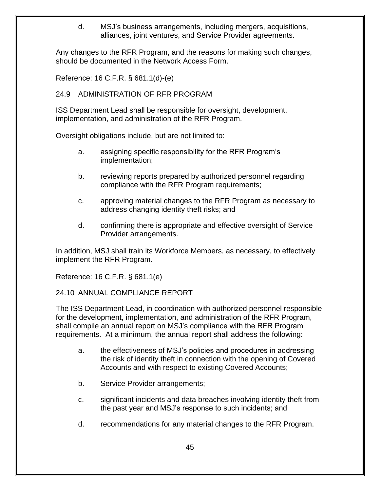d. MSJ's business arrangements, including mergers, acquisitions, alliances, joint ventures, and Service Provider agreements.

Any changes to the RFR Program, and the reasons for making such changes, should be documented in the Network Access Form.

Reference: 16 C.F.R. § 681.1(d)-(e)

## <span id="page-44-0"></span>24.9 ADMINISTRATION OF RFR PROGRAM

ISS Department Lead shall be responsible for oversight, development, implementation, and administration of the RFR Program.

Oversight obligations include, but are not limited to:

- a. assigning specific responsibility for the RFR Program's implementation;
- b. reviewing reports prepared by authorized personnel regarding compliance with the RFR Program requirements;
- c. approving material changes to the RFR Program as necessary to address changing identity theft risks; and
- d. confirming there is appropriate and effective oversight of Service Provider arrangements.

In addition, MSJ shall train its Workforce Members, as necessary, to effectively implement the RFR Program.

Reference: 16 C.F.R. § 681.1(e)

#### <span id="page-44-1"></span>24.10 ANNUAL COMPLIANCE REPORT

The ISS Department Lead, in coordination with authorized personnel responsible for the development, implementation, and administration of the RFR Program, shall compile an annual report on MSJ's compliance with the RFR Program requirements. At a minimum, the annual report shall address the following:

- a. the effectiveness of MSJ's policies and procedures in addressing the risk of identity theft in connection with the opening of Covered Accounts and with respect to existing Covered Accounts;
- b. Service Provider arrangements;
- c. significant incidents and data breaches involving identity theft from the past year and MSJ's response to such incidents; and
- d. recommendations for any material changes to the RFR Program.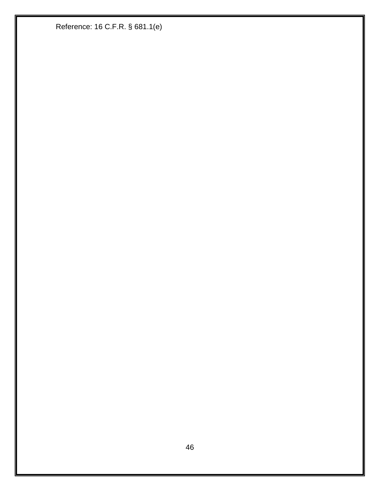Reference: 16 C.F.R. § 681.1(e)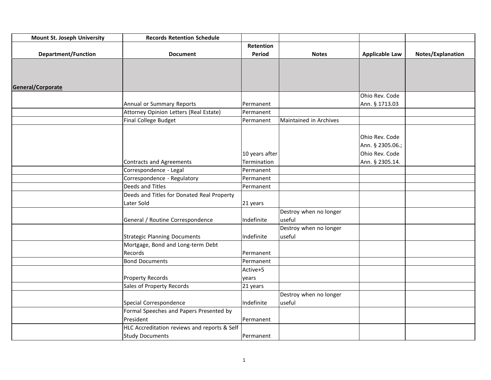| <b>Mount St. Joseph University</b> | <b>Records Retention Schedule</b>            |                  |                        |                       |                   |
|------------------------------------|----------------------------------------------|------------------|------------------------|-----------------------|-------------------|
|                                    |                                              | <b>Retention</b> |                        |                       |                   |
| <b>Department/Function</b>         | <b>Document</b>                              | Period           | <b>Notes</b>           | <b>Applicable Law</b> | Notes/Explanation |
|                                    |                                              |                  |                        |                       |                   |
|                                    |                                              |                  |                        |                       |                   |
|                                    |                                              |                  |                        |                       |                   |
| General/Corporate                  |                                              |                  |                        |                       |                   |
|                                    |                                              |                  |                        | Ohio Rev. Code        |                   |
|                                    | Annual or Summary Reports                    | Permanent        |                        | Ann. § 1713.03        |                   |
|                                    | Attorney Opinion Letters (Real Estate)       | Permanent        |                        |                       |                   |
|                                    | Final College Budget                         | Permanent        | Maintained in Archives |                       |                   |
|                                    |                                              |                  |                        |                       |                   |
|                                    |                                              |                  |                        | Ohio Rev. Code        |                   |
|                                    |                                              |                  |                        | Ann. § 2305.06.;      |                   |
|                                    |                                              | 10 years after   |                        | Ohio Rev. Code        |                   |
|                                    | <b>Contracts and Agreements</b>              | Termination      |                        | Ann. § 2305.14.       |                   |
|                                    | Correspondence - Legal                       | Permanent        |                        |                       |                   |
|                                    | Correspondence - Regulatory                  | Permanent        |                        |                       |                   |
|                                    | Deeds and Titles                             | Permanent        |                        |                       |                   |
|                                    | Deeds and Titles for Donated Real Property   |                  |                        |                       |                   |
|                                    | Later Sold                                   | 21 years         |                        |                       |                   |
|                                    |                                              |                  | Destroy when no longer |                       |                   |
|                                    | General / Routine Correspondence             | Indefinite       | useful                 |                       |                   |
|                                    |                                              |                  | Destroy when no longer |                       |                   |
|                                    | <b>Strategic Planning Documents</b>          | Indefinite       | useful                 |                       |                   |
|                                    | Mortgage, Bond and Long-term Debt            |                  |                        |                       |                   |
|                                    | Records                                      | Permanent        |                        |                       |                   |
|                                    | <b>Bond Documents</b>                        | Permanent        |                        |                       |                   |
|                                    |                                              | Active+5         |                        |                       |                   |
|                                    | <b>Property Records</b>                      | years            |                        |                       |                   |
|                                    | Sales of Property Records                    | 21 years         |                        |                       |                   |
|                                    |                                              |                  | Destroy when no longer |                       |                   |
|                                    | Special Correspondence                       | Indefinite       | useful                 |                       |                   |
|                                    | Formal Speeches and Papers Presented by      |                  |                        |                       |                   |
|                                    | President                                    | Permanent        |                        |                       |                   |
|                                    | HLC Accreditation reviews and reports & Self |                  |                        |                       |                   |
|                                    | <b>Study Documents</b>                       | Permanent        |                        |                       |                   |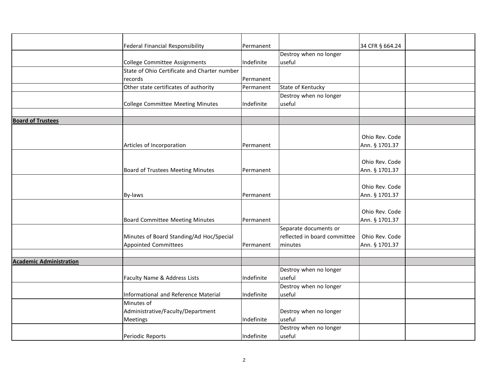|                                | Federal Financial Responsibility             | Permanent        |                              | 34 CFR § 664.24 |  |
|--------------------------------|----------------------------------------------|------------------|------------------------------|-----------------|--|
|                                |                                              |                  | Destroy when no longer       |                 |  |
|                                | College Committee Assignments                | Indefinite       | useful                       |                 |  |
|                                | State of Ohio Certificate and Charter number |                  |                              |                 |  |
|                                | records                                      | Permanent        |                              |                 |  |
|                                | Other state certificates of authority        | Permanent        | State of Kentucky            |                 |  |
|                                |                                              |                  | Destroy when no longer       |                 |  |
|                                | College Committee Meeting Minutes            | Indefinite       | useful                       |                 |  |
|                                |                                              |                  |                              |                 |  |
| <b>Board of Trustees</b>       |                                              |                  |                              |                 |  |
|                                |                                              |                  |                              |                 |  |
|                                |                                              |                  |                              | Ohio Rev. Code  |  |
|                                | Articles of Incorporation                    | Permanent        |                              | Ann. § 1701.37  |  |
|                                |                                              |                  |                              |                 |  |
|                                |                                              |                  |                              | Ohio Rev. Code  |  |
|                                | Board of Trustees Meeting Minutes            | Permanent        |                              | Ann. § 1701.37  |  |
|                                |                                              |                  |                              |                 |  |
|                                |                                              |                  |                              | Ohio Rev. Code  |  |
|                                | By-laws                                      | Permanent        |                              | Ann. § 1701.37  |  |
|                                |                                              |                  |                              |                 |  |
|                                |                                              |                  |                              | Ohio Rev. Code  |  |
|                                | <b>Board Committee Meeting Minutes</b>       | Permanent        |                              | Ann. § 1701.37  |  |
|                                |                                              |                  | Separate documents or        |                 |  |
|                                | Minutes of Board Standing/Ad Hoc/Special     |                  | reflected in board committee | Ohio Rev. Code  |  |
|                                | <b>Appointed Committees</b>                  | <b>Permanent</b> | minutes                      | Ann. § 1701.37  |  |
|                                |                                              |                  |                              |                 |  |
| <b>Academic Administration</b> |                                              |                  |                              |                 |  |
|                                |                                              |                  | Destroy when no longer       |                 |  |
|                                | Faculty Name & Address Lists                 | Indefinite       | useful                       |                 |  |
|                                |                                              |                  | Destroy when no longer       |                 |  |
|                                | Informational and Reference Material         | Indefinite       | useful                       |                 |  |
|                                | Minutes of                                   |                  |                              |                 |  |
|                                | Administrative/Faculty/Department            |                  | Destroy when no longer       |                 |  |
|                                | Meetings                                     | Indefinite       | useful                       |                 |  |
|                                |                                              |                  | Destroy when no longer       |                 |  |
|                                | Periodic Reports                             | Indefinite       | useful                       |                 |  |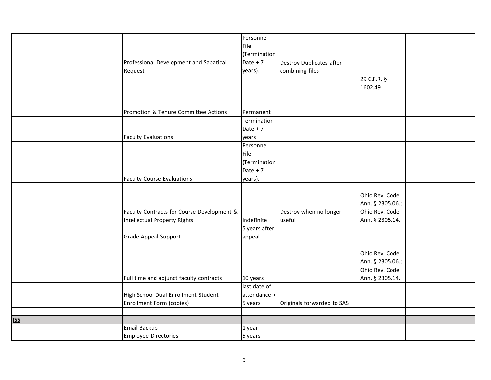|                   |                                            | Personnel     |                            |                  |  |
|-------------------|--------------------------------------------|---------------|----------------------------|------------------|--|
|                   |                                            | File          |                            |                  |  |
|                   |                                            | (Termination  |                            |                  |  |
|                   | Professional Development and Sabatical     | Date $+7$     | Destroy Duplicates after   |                  |  |
|                   | Request                                    | years).       | combining files            |                  |  |
|                   |                                            |               |                            | 29 C.F.R. §      |  |
|                   |                                            |               |                            | 1602.49          |  |
|                   |                                            |               |                            |                  |  |
|                   |                                            |               |                            |                  |  |
|                   | Promotion & Tenure Committee Actions       | Permanent     |                            |                  |  |
|                   |                                            | Termination   |                            |                  |  |
|                   |                                            | Date $+7$     |                            |                  |  |
|                   | <b>Faculty Evaluations</b>                 | years         |                            |                  |  |
|                   |                                            | Personnel     |                            |                  |  |
|                   |                                            | File          |                            |                  |  |
|                   |                                            | (Termination  |                            |                  |  |
|                   |                                            | Date $+7$     |                            |                  |  |
|                   | <b>Faculty Course Evaluations</b>          | years).       |                            |                  |  |
|                   |                                            |               |                            |                  |  |
|                   |                                            |               |                            | Ohio Rev. Code   |  |
|                   |                                            |               |                            | Ann. § 2305.06.; |  |
|                   | Faculty Contracts for Course Development & |               | Destroy when no longer     | Ohio Rev. Code   |  |
|                   | Intellectual Property Rights               | Indefinite    | useful                     | Ann. § 2305.14.  |  |
|                   |                                            | 5 years after |                            |                  |  |
|                   | Grade Appeal Support                       | appeal        |                            |                  |  |
|                   |                                            |               |                            |                  |  |
|                   |                                            |               |                            | Ohio Rev. Code   |  |
|                   |                                            |               |                            | Ann. § 2305.06.; |  |
|                   |                                            |               |                            | Ohio Rev. Code   |  |
|                   |                                            |               |                            |                  |  |
|                   | Full time and adjunct faculty contracts    | 10 years      |                            | Ann. § 2305.14.  |  |
|                   |                                            | last date of  |                            |                  |  |
|                   | High School Dual Enrollment Student        | attendance +  |                            |                  |  |
|                   | Enrollment Form (copies)                   | 5 years       | Originals forwarded to SAS |                  |  |
|                   |                                            |               |                            |                  |  |
| <u><b>ISS</b></u> |                                            |               |                            |                  |  |
|                   | Email Backup                               | 1 year        |                            |                  |  |
|                   | Employee Directories                       | 5 years       |                            |                  |  |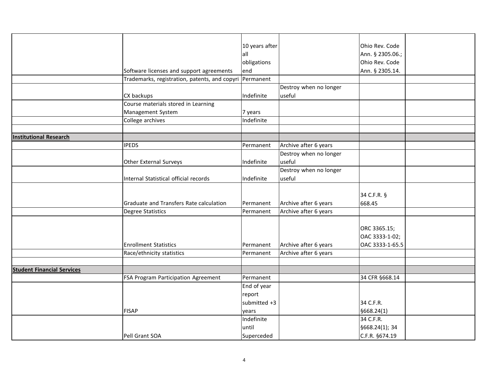|                                   |                                               | 10 years after |                        | Ohio Rev. Code   |  |
|-----------------------------------|-----------------------------------------------|----------------|------------------------|------------------|--|
|                                   |                                               | all            |                        | Ann. § 2305.06.; |  |
|                                   |                                               | obligations    |                        | Ohio Rev. Code   |  |
|                                   | Software licenses and support agreements      | end            |                        | Ann. § 2305.14.  |  |
|                                   | Trademarks, registration, patents, and copyri | Permanent      |                        |                  |  |
|                                   |                                               |                | Destroy when no longer |                  |  |
|                                   | CX backups                                    | Indefinite     | useful                 |                  |  |
|                                   | Course materials stored in Learning           |                |                        |                  |  |
|                                   | Management System                             | 7 years        |                        |                  |  |
|                                   | College archives                              | Indefinite     |                        |                  |  |
|                                   |                                               |                |                        |                  |  |
| <b>Institutional Research</b>     |                                               |                |                        |                  |  |
|                                   | <b>IPEDS</b>                                  | Permanent      | Archive after 6 years  |                  |  |
|                                   |                                               |                | Destroy when no longer |                  |  |
|                                   | Other External Surveys                        | Indefinite     | useful                 |                  |  |
|                                   |                                               |                | Destroy when no longer |                  |  |
|                                   | Internal Statistical official records         | Indefinite     | useful                 |                  |  |
|                                   |                                               |                |                        |                  |  |
|                                   |                                               |                |                        | 34 C.F.R. §      |  |
|                                   | Graduate and Transfers Rate calculation       | Permanent      | Archive after 6 years  | 668.45           |  |
|                                   | <b>Degree Statistics</b>                      | Permanent      | Archive after 6 years  |                  |  |
|                                   |                                               |                |                        |                  |  |
|                                   |                                               |                |                        | ORC 3365.15;     |  |
|                                   |                                               |                |                        | OAC 3333-1-02;   |  |
|                                   | <b>Enrollment Statistics</b>                  | Permanent      | Archive after 6 years  | OAC 3333-1-65.5  |  |
|                                   | Race/ethnicity statistics                     | Permanent      | Archive after 6 years  |                  |  |
|                                   |                                               |                |                        |                  |  |
| <b>Student Financial Services</b> |                                               |                |                        |                  |  |
|                                   | FSA Program Participation Agreement           | Permanent      |                        | 34 CFR §668.14   |  |
|                                   |                                               | End of year    |                        |                  |  |
|                                   |                                               | report         |                        |                  |  |
|                                   |                                               | submitted +3   |                        | 34 C.F.R.        |  |
|                                   | <b>FISAP</b>                                  | years          |                        | §668.24(1)       |  |
|                                   |                                               | Indefinite     |                        | 34 C.F.R.        |  |
|                                   |                                               | until          |                        | §668.24(1); 34   |  |
|                                   | Pell Grant SOA                                | Superceded     |                        | C.F.R. §674.19   |  |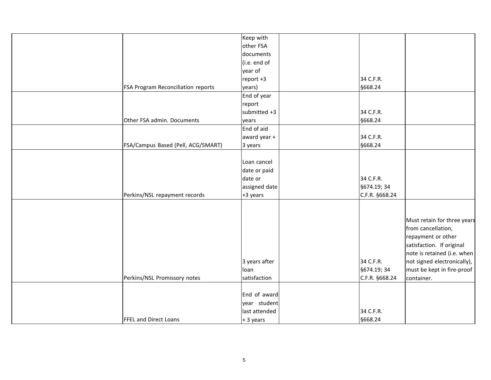|                                    | Keep with     |                |                             |
|------------------------------------|---------------|----------------|-----------------------------|
|                                    | other FSA     |                |                             |
|                                    | documents     |                |                             |
|                                    | (i.e. end of  |                |                             |
|                                    | year of       |                |                             |
|                                    | report +3     | 34 C.F.R.      |                             |
| FSA Program Reconciliation reports | years)        | §668.24        |                             |
|                                    | End of year   |                |                             |
|                                    | report        |                |                             |
|                                    | submitted +3  | 34 C.F.R.      |                             |
| Other FSA admin. Documents         | years         | §668.24        |                             |
|                                    | End of aid    |                |                             |
|                                    | award year +  | 34 C.F.R.      |                             |
| FSA/Campus Based (Pell, ACG/SMART) | 3 years       | §668.24        |                             |
|                                    |               |                |                             |
|                                    | Loan cancel   |                |                             |
|                                    | date or paid  |                |                             |
|                                    | date or       | 34 C.F.R.      |                             |
|                                    | assigned date | §674.19; 34    |                             |
| Perkins/NSL repayment records      | +3 years      | C.F.R. §668.24 |                             |
|                                    |               |                |                             |
|                                    |               |                |                             |
|                                    |               |                | Must retain for three years |
|                                    |               |                | from cancellation,          |
|                                    |               |                | repayment or other          |
|                                    |               |                | satisfaction. If original   |
|                                    |               |                | note is retained (i.e. when |
|                                    | 3 years after | 34 C.F.R.      | not signed electronically), |
|                                    | loan          | §674.19; 34    | must be kept in fire-proof  |
| Perkins/NSL Promissory notes       | satisfaction  | C.F.R. §668.24 | container.                  |
|                                    |               |                |                             |
|                                    | End of award  |                |                             |
|                                    | year student  |                |                             |
|                                    | last attended | 34 C.F.R.      |                             |
| <b>FFEL and Direct Loans</b>       | + 3 years     | §668.24        |                             |
|                                    |               |                |                             |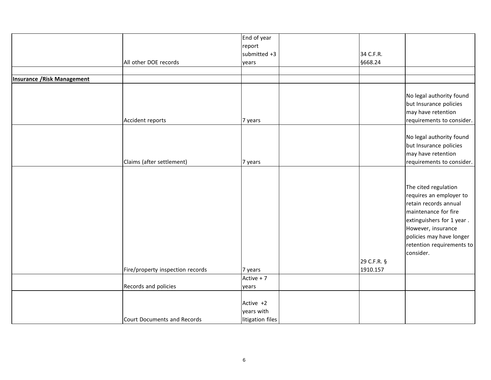|                             |                                  | End of year      |             |                           |
|-----------------------------|----------------------------------|------------------|-------------|---------------------------|
|                             |                                  | report           |             |                           |
|                             |                                  | submitted +3     | 34 C.F.R.   |                           |
|                             | All other DOE records            | years            | §668.24     |                           |
|                             |                                  |                  |             |                           |
| Insurance / Risk Management |                                  |                  |             |                           |
|                             |                                  |                  |             |                           |
|                             |                                  |                  |             | No legal authority found  |
|                             |                                  |                  |             | but Insurance policies    |
|                             |                                  |                  |             | may have retention        |
|                             | Accident reports                 | 7 years          |             | requirements to consider. |
|                             |                                  |                  |             |                           |
|                             |                                  |                  |             | No legal authority found  |
|                             |                                  |                  |             | but Insurance policies    |
|                             |                                  |                  |             | may have retention        |
|                             | Claims (after settlement)        | 7 years          |             | requirements to consider. |
|                             |                                  |                  |             |                           |
|                             |                                  |                  |             |                           |
|                             |                                  |                  |             | The cited regulation      |
|                             |                                  |                  |             | requires an employer to   |
|                             |                                  |                  |             | retain records annual     |
|                             |                                  |                  |             | maintenance for fire      |
|                             |                                  |                  |             | extinguishers for 1 year. |
|                             |                                  |                  |             | However, insurance        |
|                             |                                  |                  |             | policies may have longer  |
|                             |                                  |                  |             | retention requirements to |
|                             |                                  |                  |             | consider.                 |
|                             |                                  |                  | 29 C.F.R. § |                           |
|                             | Fire/property inspection records | 7 years          | 1910.157    |                           |
|                             |                                  | Active + 7       |             |                           |
|                             | Records and policies             | years            |             |                           |
|                             |                                  |                  |             |                           |
|                             |                                  | Active +2        |             |                           |
|                             |                                  | years with       |             |                           |
|                             | Court Documents and Records      | litigation files |             |                           |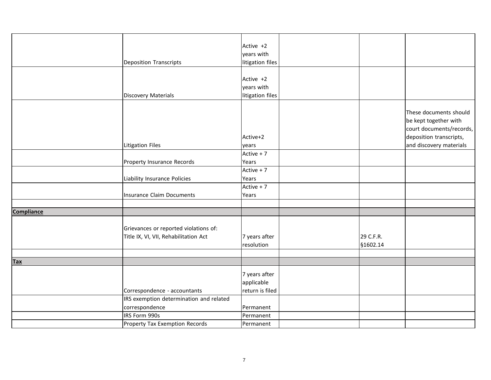|                   |                                         | Active +2        |           |                                                                                                        |
|-------------------|-----------------------------------------|------------------|-----------|--------------------------------------------------------------------------------------------------------|
|                   |                                         | years with       |           |                                                                                                        |
|                   | Deposition Transcripts                  | litigation files |           |                                                                                                        |
|                   |                                         |                  |           |                                                                                                        |
|                   |                                         | Active +2        |           |                                                                                                        |
|                   |                                         | years with       |           |                                                                                                        |
|                   | <b>Discovery Materials</b>              | litigation files |           |                                                                                                        |
|                   |                                         | Active+2         |           | These documents should<br>be kept together with<br>court documents/records,<br>deposition transcripts, |
|                   | <b>Litigation Files</b>                 | years            |           | and discovery materials                                                                                |
|                   |                                         | Active + 7       |           |                                                                                                        |
|                   | Property Insurance Records              | Years            |           |                                                                                                        |
|                   |                                         | Active + 7       |           |                                                                                                        |
|                   | Liability Insurance Policies            | Years            |           |                                                                                                        |
|                   |                                         | Active + 7       |           |                                                                                                        |
|                   | <b>Insurance Claim Documents</b>        | Years            |           |                                                                                                        |
|                   |                                         |                  |           |                                                                                                        |
| <b>Compliance</b> |                                         |                  |           |                                                                                                        |
|                   |                                         |                  |           |                                                                                                        |
|                   | Grievances or reported violations of:   |                  |           |                                                                                                        |
|                   | Title IX, VI, VII, Rehabilitation Act   | 7 years after    | 29 C.F.R. |                                                                                                        |
|                   |                                         | resolution       | §1602.14  |                                                                                                        |
|                   |                                         |                  |           |                                                                                                        |
| <b>Tax</b>        |                                         |                  |           |                                                                                                        |
|                   |                                         |                  |           |                                                                                                        |
|                   |                                         | 7 years after    |           |                                                                                                        |
|                   |                                         | applicable       |           |                                                                                                        |
|                   | Correspondence - accountants            | return is filed  |           |                                                                                                        |
|                   | IRS exemption determination and related |                  |           |                                                                                                        |
|                   | correspondence                          | Permanent        |           |                                                                                                        |
|                   | IRS Form 990s                           | Permanent        |           |                                                                                                        |
|                   | Property Tax Exemption Records          | Permanent        |           |                                                                                                        |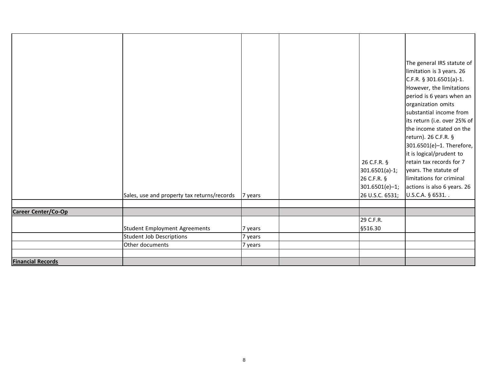| <b>Financial Records</b> |                                             |         |                 |                              |
|--------------------------|---------------------------------------------|---------|-----------------|------------------------------|
|                          |                                             |         |                 |                              |
|                          | Other documents                             | 7 years |                 |                              |
|                          | Student Job Descriptions                    | 7 years |                 |                              |
|                          | Student Employment Agreements               | 7 years | §516.30         |                              |
|                          |                                             |         | 29 C.F.R.       |                              |
| Career Center/Co-Op      |                                             |         |                 |                              |
|                          |                                             |         |                 |                              |
|                          | Sales, use and property tax returns/records | 7 years | 26 U.S.C. 6531; | U.S.C.A. § 6531              |
|                          |                                             |         | 301.6501(e)-1;  | actions is also 6 years. 26  |
|                          |                                             |         | 26 C.F.R. §     | limitations for criminal     |
|                          |                                             |         | 301.6501(a)-1;  | years. The statute of        |
|                          |                                             |         | 26 C.F.R. §     | retain tax records for 7     |
|                          |                                             |         |                 | it is logical/prudent to     |
|                          |                                             |         |                 | 301.6501(e)-1. Therefore,    |
|                          |                                             |         |                 | return). 26 C.F.R. §         |
|                          |                                             |         |                 | the income stated on the     |
|                          |                                             |         |                 | its return (i.e. over 25% of |
|                          |                                             |         |                 | substantial income from      |
|                          |                                             |         |                 | organization omits           |
|                          |                                             |         |                 | period is 6 years when an    |
|                          |                                             |         |                 | However, the limitations     |
|                          |                                             |         |                 | $C.F.R. § 301.6501(a)-1.$    |
|                          |                                             |         |                 | limitation is 3 years. 26    |
|                          |                                             |         |                 | The general IRS statute of   |
|                          |                                             |         |                 |                              |
|                          |                                             |         |                 |                              |
|                          |                                             |         |                 |                              |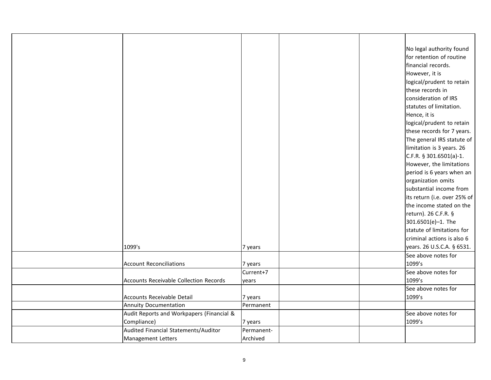|                                               |            |  | No legal authority found     |
|-----------------------------------------------|------------|--|------------------------------|
|                                               |            |  | for retention of routine     |
|                                               |            |  | financial records.           |
|                                               |            |  | However, it is               |
|                                               |            |  | logical/prudent to retain    |
|                                               |            |  | these records in             |
|                                               |            |  | consideration of IRS         |
|                                               |            |  | statutes of limitation.      |
|                                               |            |  | Hence, it is                 |
|                                               |            |  | logical/prudent to retain    |
|                                               |            |  | these records for 7 years.   |
|                                               |            |  | The general IRS statute of   |
|                                               |            |  | limitation is 3 years. 26    |
|                                               |            |  | $C.F.R.$ § 301.6501(a)-1.    |
|                                               |            |  | However, the limitations     |
|                                               |            |  | period is 6 years when an    |
|                                               |            |  | organization omits           |
|                                               |            |  | substantial income from      |
|                                               |            |  | its return (i.e. over 25% of |
|                                               |            |  | the income stated on the     |
|                                               |            |  | return). 26 C.F.R. §         |
|                                               |            |  | 301.6501(e)-1. The           |
|                                               |            |  | statute of limitations for   |
|                                               |            |  | criminal actions is also 6   |
| 1099's                                        |            |  | years. 26 U.S.C.A. § 6531.   |
|                                               | 7 years    |  |                              |
|                                               |            |  | See above notes for          |
| <b>Account Reconciliations</b>                | 7 years    |  | 1099's                       |
|                                               | Current+7  |  | See above notes for          |
| <b>Accounts Receivable Collection Records</b> | years      |  | 1099's                       |
|                                               |            |  | See above notes for          |
| Accounts Receivable Detail                    | 7 years    |  | 1099's                       |
| Annuity Documentation                         | Permanent  |  |                              |
| Audit Reports and Workpapers (Financial &     |            |  | See above notes for          |
| Compliance)                                   | 7 years    |  | 1099's                       |
| Audited Financial Statements/Auditor          | Permanent- |  |                              |
| Management Letters                            | Archived   |  |                              |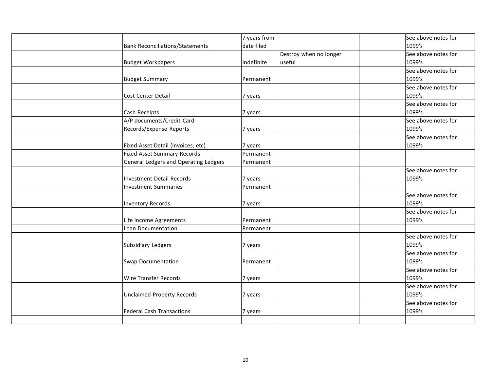|                                        | 7 years from |                        | See above notes for |
|----------------------------------------|--------------|------------------------|---------------------|
| <b>Bank Reconciliations/Statements</b> | date filed   |                        | 1099's              |
|                                        |              | Destroy when no longer | See above notes for |
| <b>Budget Workpapers</b>               | Indefinite   | useful                 | 1099's              |
|                                        |              |                        | See above notes for |
| <b>Budget Summary</b>                  | Permanent    |                        | 1099's              |
|                                        |              |                        | See above notes for |
| Cost Center Detail                     | 7 years      |                        | 1099's              |
|                                        |              |                        | See above notes for |
| Cash Receipts                          | 7 years      |                        | 1099's              |
| A/P documents/Credit Card              |              |                        | See above notes for |
| Records/Expense Reports                | 7 years      |                        | 1099's              |
|                                        |              |                        | See above notes for |
| Fixed Asset Detail (Invoices, etc)     | 7 years      |                        | 1099's              |
| <b>Fixed Asset Summary Records</b>     | Permanent    |                        |                     |
| General Ledgers and Operating Ledgers  | Permanent    |                        |                     |
|                                        |              |                        | See above notes for |
| Investment Detail Records              | 7 years      |                        | 1099's              |
| Investment Summaries                   | Permanent    |                        |                     |
|                                        |              |                        | See above notes for |
| Inventory Records                      | 7 years      |                        | 1099's              |
|                                        |              |                        | See above notes for |
| Life Income Agreements                 | Permanent    |                        | 1099's              |
| Loan Documentation                     | Permanent    |                        |                     |
|                                        |              |                        | See above notes for |
| Subsidiary Ledgers                     | 7 years      |                        | 1099's              |
|                                        |              |                        | See above notes for |
| <b>Swap Documentation</b>              | Permanent    |                        | 1099's              |
|                                        |              |                        | See above notes for |
| <b>Wire Transfer Records</b>           | 7 years      |                        | 1099's              |
|                                        |              |                        | See above notes for |
| <b>Unclaimed Property Records</b>      | 7 years      |                        | 1099's              |
|                                        |              |                        | See above notes for |
| <b>Federal Cash Transactions</b>       | 7 years      |                        | 1099's              |
|                                        |              |                        |                     |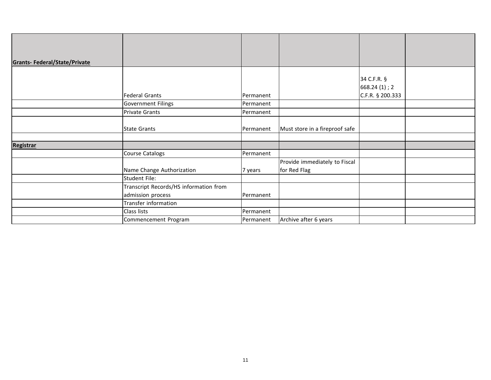| <b>Grants-Federal/State/Private</b> |                                        |           |                                |                             |  |
|-------------------------------------|----------------------------------------|-----------|--------------------------------|-----------------------------|--|
|                                     |                                        |           |                                | 34 C.F.R. §<br>668.24(1); 2 |  |
|                                     | Federal Grants                         | Permanent |                                | C.F.R. § 200.333            |  |
|                                     | Government Filings                     | Permanent |                                |                             |  |
|                                     | Private Grants                         | Permanent |                                |                             |  |
|                                     | <b>State Grants</b>                    | Permanent | Must store in a fireproof safe |                             |  |
|                                     |                                        |           |                                |                             |  |
| <b>Registrar</b>                    |                                        |           |                                |                             |  |
|                                     | Course Catalogs                        | Permanent |                                |                             |  |
|                                     |                                        |           | Provide immediately to Fiscal  |                             |  |
|                                     | Name Change Authorization              | 7 years   | for Red Flag                   |                             |  |
|                                     | <b>Student File:</b>                   |           |                                |                             |  |
|                                     | Transcript Records/HS information from |           |                                |                             |  |
|                                     | admission process                      | Permanent |                                |                             |  |
|                                     | Transfer information                   |           |                                |                             |  |
|                                     | Class lists                            | Permanent |                                |                             |  |
|                                     | Commencement Program                   | Permanent | Archive after 6 years          |                             |  |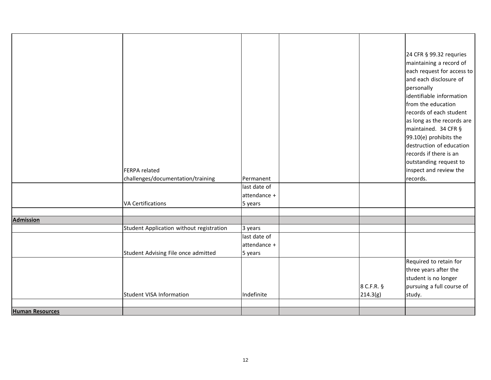|                        |                                          |              |            | 24 CFR § 99.32 requries                              |
|------------------------|------------------------------------------|--------------|------------|------------------------------------------------------|
|                        |                                          |              |            | maintaining a record of                              |
|                        |                                          |              |            |                                                      |
|                        |                                          |              |            | each request for access to<br>and each disclosure of |
|                        |                                          |              |            |                                                      |
|                        |                                          |              |            | personally                                           |
|                        |                                          |              |            | identifiable information                             |
|                        |                                          |              |            | from the education                                   |
|                        |                                          |              |            | records of each student                              |
|                        |                                          |              |            | as long as the records are                           |
|                        |                                          |              |            | maintained. 34 CFR §                                 |
|                        |                                          |              |            | 99.10(e) prohibits the                               |
|                        |                                          |              |            | destruction of education                             |
|                        |                                          |              |            | records if there is an                               |
|                        |                                          |              |            | outstanding request to                               |
|                        | <b>FERPA</b> related                     |              |            | inspect and review the                               |
|                        | challenges/documentation/training        | Permanent    |            | records.                                             |
|                        |                                          | last date of |            |                                                      |
|                        |                                          | attendance + |            |                                                      |
|                        | <b>VA Certifications</b>                 | 5 years      |            |                                                      |
|                        |                                          |              |            |                                                      |
| <b>Admission</b>       |                                          |              |            |                                                      |
|                        | Student Application without registration | 3 years      |            |                                                      |
|                        |                                          | last date of |            |                                                      |
|                        |                                          | attendance + |            |                                                      |
|                        | Student Advising File once admitted      | 5 years      |            |                                                      |
|                        |                                          |              |            | Required to retain for                               |
|                        |                                          |              |            | three years after the                                |
|                        |                                          |              |            | student is no longer                                 |
|                        |                                          |              | 8 C.F.R. § | pursuing a full course of                            |
|                        | Student VISA Information                 | Indefinite   | 214.3(g)   | study.                                               |
|                        |                                          |              |            |                                                      |
| <b>Human Resources</b> |                                          |              |            |                                                      |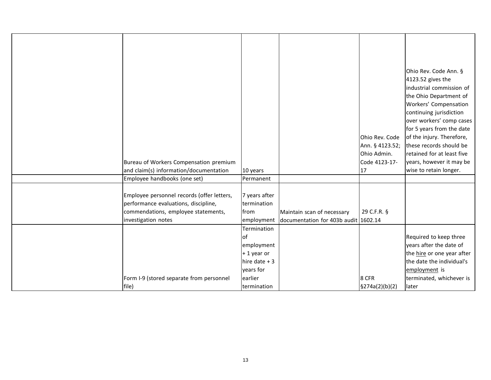|                                            |                           |                                                                    |                            | Ohio Rev. Code Ann. §      |
|--------------------------------------------|---------------------------|--------------------------------------------------------------------|----------------------------|----------------------------|
|                                            |                           |                                                                    |                            | 4123.52 gives the          |
|                                            |                           |                                                                    |                            | industrial commission of   |
|                                            |                           |                                                                    |                            | the Ohio Department of     |
|                                            |                           |                                                                    |                            | Workers' Compensation      |
|                                            |                           |                                                                    |                            | continuing jurisdiction    |
|                                            |                           |                                                                    |                            | over workers' comp cases   |
|                                            |                           |                                                                    |                            | for 5 years from the date  |
|                                            |                           |                                                                    | Ohio Rev. Code             | of the injury. Therefore,  |
|                                            |                           |                                                                    | Ann. § 4123.52;            | these records should be    |
|                                            |                           |                                                                    | Ohio Admin.                | retained for at least five |
| Bureau of Workers Compensation premium     |                           |                                                                    | Code 4123-17-              | years, however it may be   |
| and claim(s) information/documentation     | 10 years                  |                                                                    | 17                         | wise to retain longer.     |
| Employee handbooks (one set)               | Permanent                 |                                                                    |                            |                            |
|                                            |                           |                                                                    |                            |                            |
| Employee personnel records (offer letters, | 7 years after             |                                                                    |                            |                            |
| performance evaluations, discipline,       | termination               |                                                                    |                            |                            |
| commendations, employee statements,        | from                      | Maintain scan of necessary<br>documentation for 403b audit 1602.14 | 29 C.F.R. §                |                            |
| investigation notes                        | employment<br>Termination |                                                                    |                            |                            |
|                                            | lof                       |                                                                    |                            | Required to keep three     |
|                                            | employment                |                                                                    |                            | years after the date of    |
|                                            | $+1$ year or              |                                                                    |                            | the hire or one year after |
|                                            | hire date $+3$            |                                                                    |                            | the date the individual's  |
|                                            | years for                 |                                                                    |                            | employment is              |
| Form I-9 (stored separate from personnel   | earlier                   |                                                                    | 8 CFR                      | terminated, whichever is   |
| file)                                      | termination               |                                                                    | $\frac{5274a(2)(b)(2)}{2}$ | llater                     |
|                                            |                           |                                                                    |                            |                            |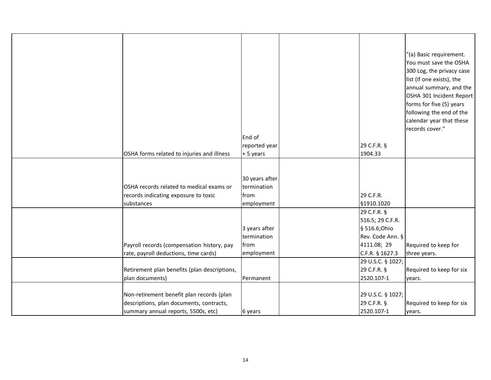| OSHA forms related to injuries and illness                                                     | End of<br>reported year<br>+ 5 years                | 29 C.F.R. §<br>1904.33  | "(a) Basic requirement.<br>You must save the OSHA<br>300 Log, the privacy case<br>list (if one exists), the<br>annual summary, and the<br>OSHA 301 Incident Report<br>forms for five (5) years<br>following the end of the<br>calendar year that these<br>records cover." |
|------------------------------------------------------------------------------------------------|-----------------------------------------------------|-------------------------|---------------------------------------------------------------------------------------------------------------------------------------------------------------------------------------------------------------------------------------------------------------------------|
|                                                                                                |                                                     |                         |                                                                                                                                                                                                                                                                           |
| OSHA records related to medical exams or<br>records indicating exposure to toxic<br>substances | 30 years after<br>termination<br>from<br>employment | 29 C.F.R.<br>§1910.1020 |                                                                                                                                                                                                                                                                           |
|                                                                                                |                                                     | 29 C.F.R. §             |                                                                                                                                                                                                                                                                           |
|                                                                                                |                                                     | 516.5; 29 C.F.R.        |                                                                                                                                                                                                                                                                           |
|                                                                                                | 3 years after                                       | § 516.6;Ohio            |                                                                                                                                                                                                                                                                           |
|                                                                                                | termination                                         | Rev. Code Ann. §        |                                                                                                                                                                                                                                                                           |
| Payroll records (compensation history, pay                                                     | from                                                | 4111.08; 29             | Required to keep for                                                                                                                                                                                                                                                      |
| rate, payroll deductions, time cards)                                                          | employment                                          | C.F.R. § 1627.3         | three years.                                                                                                                                                                                                                                                              |
|                                                                                                |                                                     | 29 U.S.C. § 1027;       |                                                                                                                                                                                                                                                                           |
| Retirement plan benefits (plan descriptions,                                                   |                                                     | 29 C.F.R. §             | Required to keep for six                                                                                                                                                                                                                                                  |
| plan documents)                                                                                | Permanent                                           | 2520.107-1              | years.                                                                                                                                                                                                                                                                    |
|                                                                                                |                                                     |                         |                                                                                                                                                                                                                                                                           |
| Non-retirement benefit plan records (plan                                                      |                                                     | 29 U.S.C. § 1027;       |                                                                                                                                                                                                                                                                           |
| descriptions, plan documents, contracts,                                                       |                                                     | 29 C.F.R. §             | Required to keep for six                                                                                                                                                                                                                                                  |
| summary annual reports, 5500s, etc)                                                            | 6 years                                             | 2520.107-1              | years.                                                                                                                                                                                                                                                                    |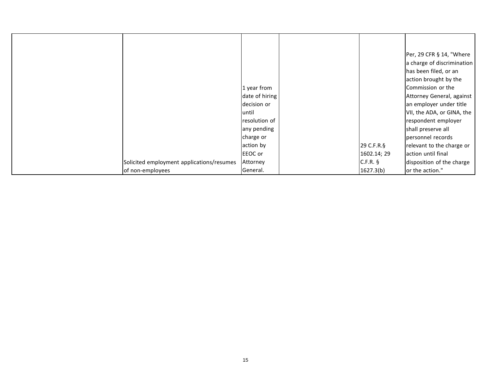|                                           |                |             | Per, 29 CFR § 14, "Where   |
|-------------------------------------------|----------------|-------------|----------------------------|
|                                           |                |             | a charge of discrimination |
|                                           |                |             | has been filed, or an      |
|                                           |                |             | action brought by the      |
|                                           | 1 year from    |             | Commission or the          |
|                                           | date of hiring |             | Attorney General, against  |
|                                           | decision or    |             | an employer under title    |
|                                           | luntil         |             | VII, the ADA, or GINA, the |
|                                           | resolution of  |             | respondent employer        |
|                                           | any pending    |             | shall preserve all         |
|                                           | charge or      |             | personnel records          |
|                                           | action by      | 29 C.F.R.§  | relevant to the charge or  |
|                                           | EEOC or        | 1602.14; 29 | action until final         |
| Solicited employment applications/resumes | Attorney       | $C.F.R.$ §  | disposition of the charge  |
| of non-employees                          | General.       | 1627.3(b)   | or the action."            |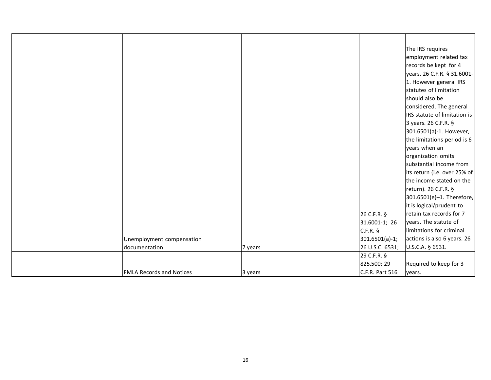|                                 |         |                  | The IRS requires             |
|---------------------------------|---------|------------------|------------------------------|
|                                 |         |                  | employment related tax       |
|                                 |         |                  | records be kept for 4        |
|                                 |         |                  | years. 26 C.F.R. § 31.6001-  |
|                                 |         |                  | 1. However general IRS       |
|                                 |         |                  | statutes of limitation       |
|                                 |         |                  | should also be               |
|                                 |         |                  | considered. The general      |
|                                 |         |                  | IRS statute of limitation is |
|                                 |         |                  | 3 years. 26 C.F.R. §         |
|                                 |         |                  | 301.6501(a)-1. However,      |
|                                 |         |                  | the limitations period is 6  |
|                                 |         |                  | years when an                |
|                                 |         |                  | organization omits           |
|                                 |         |                  | substantial income from      |
|                                 |         |                  | its return (i.e. over 25% of |
|                                 |         |                  | the income stated on the     |
|                                 |         |                  | return). 26 C.F.R. §         |
|                                 |         |                  | 301.6501(e)-1. Therefore,    |
|                                 |         |                  | it is logical/prudent to     |
|                                 |         | 26 C.F.R. §      | retain tax records for 7     |
|                                 |         | 31.6001-1; 26    | years. The statute of        |
|                                 |         | $C.F.R.$ §       | limitations for criminal     |
| Unemployment compensation       |         | $301.6501(a)-1;$ | actions is also 6 years. 26  |
| documentation                   | 7 years | 26 U.S.C. 6531;  | U.S.C.A. § 6531.             |
|                                 |         | 29 C.F.R. §      |                              |
|                                 |         | 825.500; 29      | Required to keep for 3       |
| <b>FMLA Records and Notices</b> | 3 years | C.F.R. Part 516  | years.                       |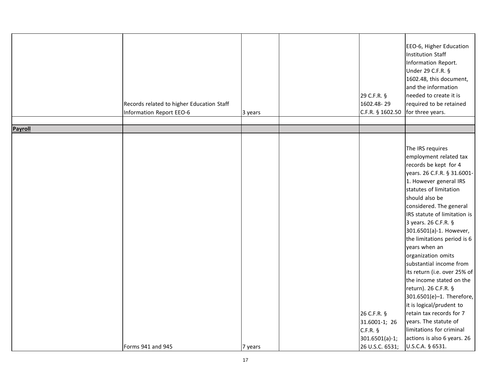|         | Records related to higher Education Staff<br>Information Report EEO-6 | 3 years | 29 C.F.R. §<br>1602.48-29<br>C.F.R. § 1602.50                                     | EEO-6, Higher Education<br><b>Institution Staff</b><br>Information Report.<br>Under 29 C.F.R. §<br>1602.48, this document,<br>and the information<br>needed to create it is<br>required to be retained<br>for three years.                                                                                                                                                                                                                                                                                                                                                                                                                                               |
|---------|-----------------------------------------------------------------------|---------|-----------------------------------------------------------------------------------|--------------------------------------------------------------------------------------------------------------------------------------------------------------------------------------------------------------------------------------------------------------------------------------------------------------------------------------------------------------------------------------------------------------------------------------------------------------------------------------------------------------------------------------------------------------------------------------------------------------------------------------------------------------------------|
| Payroll |                                                                       |         |                                                                                   |                                                                                                                                                                                                                                                                                                                                                                                                                                                                                                                                                                                                                                                                          |
|         | Forms 941 and 945                                                     | 7 years | 26 C.F.R. §<br>31.6001-1; 26<br>$C.F.R.$ §<br>$301.6501(a)-1;$<br>26 U.S.C. 6531; | The IRS requires<br>employment related tax<br>records be kept for 4<br>years. 26 C.F.R. § 31.6001-<br>1. However general IRS<br>statutes of limitation<br>should also be<br>considered. The general<br>IRS statute of limitation is<br>3 years. 26 C.F.R. §<br>301.6501(a)-1. However,<br>the limitations period is 6<br>years when an<br>organization omits<br>substantial income from<br>its return (i.e. over 25% of<br>the income stated on the<br>return). 26 C.F.R. §<br>301.6501(e)-1. Therefore,<br>it is logical/prudent to<br>retain tax records for 7<br>years. The statute of<br>limitations for criminal<br>actions is also 6 years. 26<br>U.S.C.A. § 6531. |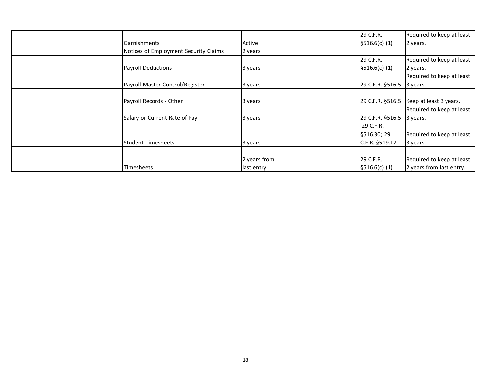|                                       |              | 29 C.F.R.                 | Required to keep at least                 |
|---------------------------------------|--------------|---------------------------|-------------------------------------------|
| Garnishments                          | Active       | \$516.6(c) (1)            | 2 years.                                  |
| Notices of Employment Security Claims | 2 years      |                           |                                           |
|                                       |              | 29 C.F.R.                 | Required to keep at least                 |
| <b>Payroll Deductions</b>             | 3 years      | \$516.6(c) (1)            | 2 years.                                  |
|                                       |              |                           | Required to keep at least                 |
| Payroll Master Control/Register       | 3 years      | 29 C.F.R. §516.5 3 years. |                                           |
|                                       |              |                           |                                           |
| Payroll Records - Other               | 3 years      |                           | 29 C.F.R. $$516.5$ Keep at least 3 years. |
|                                       |              |                           | Required to keep at least                 |
| Salary or Current Rate of Pay         | 3 years      | 29 C.F.R. §516.5 3 years. |                                           |
|                                       |              | 29 C.F.R.                 |                                           |
|                                       |              | §516.30; 29               | Required to keep at least                 |
| Student Timesheets                    | 3 years      | C.F.R. §519.17            | 3 years.                                  |
|                                       |              |                           |                                           |
|                                       | 2 years from | 29 C.F.R.                 | Required to keep at least                 |
| Timesheets                            | last entry   | \$516.6(c) (1)            | 2 years from last entry.                  |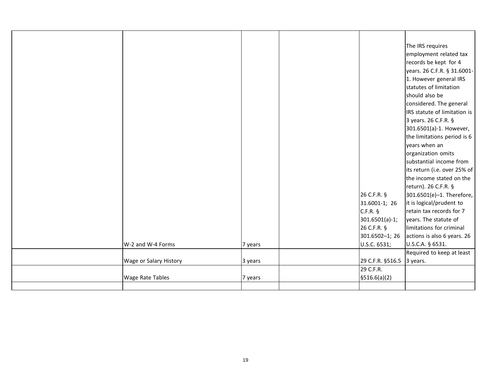|                         |         |                  | The IRS requires             |
|-------------------------|---------|------------------|------------------------------|
|                         |         |                  | employment related tax       |
|                         |         |                  | records be kept for 4        |
|                         |         |                  | years. 26 C.F.R. § 31.6001-  |
|                         |         |                  | 1. However general IRS       |
|                         |         |                  | statutes of limitation       |
|                         |         |                  | should also be               |
|                         |         |                  | considered. The general      |
|                         |         |                  | IRS statute of limitation is |
|                         |         |                  | 3 years. 26 C.F.R. §         |
|                         |         |                  | 301.6501(a)-1. However,      |
|                         |         |                  | the limitations period is 6  |
|                         |         |                  | years when an                |
|                         |         |                  | organization omits           |
|                         |         |                  | substantial income from      |
|                         |         |                  | its return (i.e. over 25% of |
|                         |         |                  | the income stated on the     |
|                         |         |                  | return). 26 C.F.R. §         |
|                         |         | 26 C.F.R. §      | 301.6501(e)-1. Therefore,    |
|                         |         | 31.6001-1; 26    | it is logical/prudent to     |
|                         |         | C.F.R.           | retain tax records for 7     |
|                         |         | 301.6501(a)-1;   | years. The statute of        |
|                         |         | 26 C.F.R. §      | limitations for criminal     |
|                         |         | 301.6502-1; 26   | actions is also 6 years. 26  |
| W-2 and W-4 Forms       | 7 years | U.S.C. 6531;     | U.S.C.A. § 6531.             |
|                         |         |                  | Required to keep at least    |
| Wage or Salary History  | 3 years | 29 C.F.R. §516.5 | 3 years.                     |
|                         |         | 29 C.F.R.        |                              |
| <b>Wage Rate Tables</b> | 7 years | \$516.6(a)(2)    |                              |
|                         |         |                  |                              |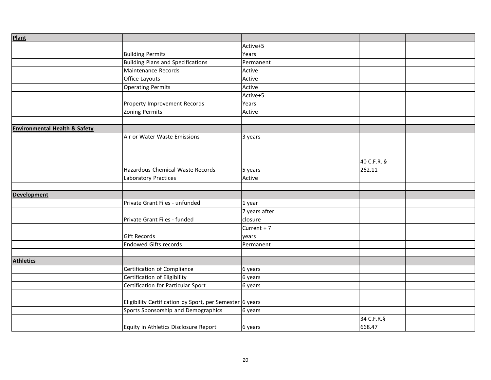| <b>Plant</b>                             |                                                          |               |             |  |
|------------------------------------------|----------------------------------------------------------|---------------|-------------|--|
|                                          |                                                          | Active+5      |             |  |
|                                          | <b>Building Permits</b>                                  | Years         |             |  |
|                                          | <b>Building Plans and Specifications</b>                 | Permanent     |             |  |
|                                          | Maintenance Records                                      | Active        |             |  |
|                                          | Office Layouts                                           | Active        |             |  |
|                                          | Operating Permits                                        | Active        |             |  |
|                                          |                                                          | Active+5      |             |  |
|                                          | Property Improvement Records                             | Years         |             |  |
|                                          | Zoning Permits                                           | Active        |             |  |
|                                          |                                                          |               |             |  |
| <b>Environmental Health &amp; Safety</b> |                                                          |               |             |  |
|                                          | Air or Water Waste Emissions                             | 3 years       |             |  |
|                                          |                                                          |               |             |  |
|                                          |                                                          |               |             |  |
|                                          |                                                          |               | 40 C.F.R. § |  |
|                                          | Hazardous Chemical Waste Records                         | 5 years       | 262.11      |  |
|                                          | Laboratory Practices                                     | Active        |             |  |
|                                          |                                                          |               |             |  |
| <b>Development</b>                       |                                                          |               |             |  |
|                                          | Private Grant Files - unfunded                           | 1 year        |             |  |
|                                          |                                                          | 7 years after |             |  |
|                                          | Private Grant Files - funded                             | closure       |             |  |
|                                          |                                                          | Current $+7$  |             |  |
|                                          | <b>Gift Records</b>                                      | years         |             |  |
|                                          | <b>Endowed Gifts records</b>                             | Permanent     |             |  |
|                                          |                                                          |               |             |  |
| <b>Athletics</b>                         |                                                          |               |             |  |
|                                          | Certification of Compliance                              | 6 years       |             |  |
|                                          | Certification of Eligibility                             | 6 years       |             |  |
|                                          | Certification for Particular Sport                       | 6 years       |             |  |
|                                          |                                                          |               |             |  |
|                                          | Eligibility Certification by Sport, per Semester 6 years |               |             |  |
|                                          | Sports Sponsorship and Demographics                      | 6 years       |             |  |
|                                          |                                                          |               | 34 C.F.R.§  |  |
|                                          | Equity in Athletics Disclosure Report                    | 6 years       | 668.47      |  |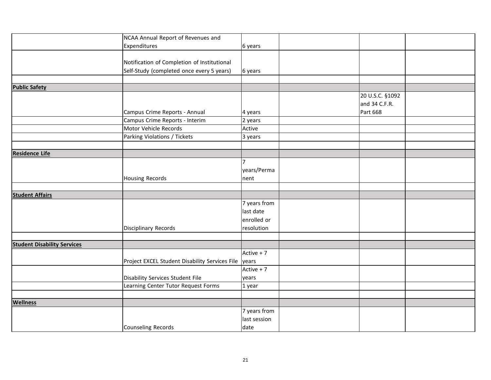|                                    | NCAA Annual Report of Revenues and                   |              |                 |  |
|------------------------------------|------------------------------------------------------|--------------|-----------------|--|
|                                    | Expenditures                                         | 6 years      |                 |  |
|                                    |                                                      |              |                 |  |
|                                    | Notification of Completion of Institutional          |              |                 |  |
|                                    | Self-Study (completed once every 5 years)            | 6 years      |                 |  |
|                                    |                                                      |              |                 |  |
| <b>Public Safety</b>               |                                                      |              |                 |  |
|                                    |                                                      |              | 20 U.S.C. §1092 |  |
|                                    |                                                      |              | and 34 C.F.R.   |  |
|                                    | Campus Crime Reports - Annual                        | 4 years      | Part 668        |  |
|                                    | Campus Crime Reports - Interim                       | 2 years      |                 |  |
|                                    | Motor Vehicle Records                                | Active       |                 |  |
|                                    | Parking Violations / Tickets                         | 3 years      |                 |  |
|                                    |                                                      |              |                 |  |
| <b>Residence Life</b>              |                                                      |              |                 |  |
|                                    |                                                      | 7            |                 |  |
|                                    |                                                      | years/Perma  |                 |  |
|                                    | Housing Records                                      | nent         |                 |  |
|                                    |                                                      |              |                 |  |
| <b>Student Affairs</b>             |                                                      |              |                 |  |
|                                    |                                                      | 7 years from |                 |  |
|                                    |                                                      | last date    |                 |  |
|                                    |                                                      | enrolled or  |                 |  |
|                                    | Disciplinary Records                                 | resolution   |                 |  |
|                                    |                                                      |              |                 |  |
| <b>Student Disability Services</b> |                                                      |              |                 |  |
|                                    |                                                      | Active + 7   |                 |  |
|                                    | Project EXCEL Student Disability Services File years |              |                 |  |
|                                    |                                                      | Active + 7   |                 |  |
|                                    | Disability Services Student File                     | years        |                 |  |
|                                    | Learning Center Tutor Request Forms                  | 1 year       |                 |  |
|                                    |                                                      |              |                 |  |
| <b>Wellness</b>                    |                                                      |              |                 |  |
|                                    |                                                      | 7 years from |                 |  |
|                                    |                                                      | last session |                 |  |
|                                    | Counseling Records                                   | date         |                 |  |
|                                    |                                                      |              |                 |  |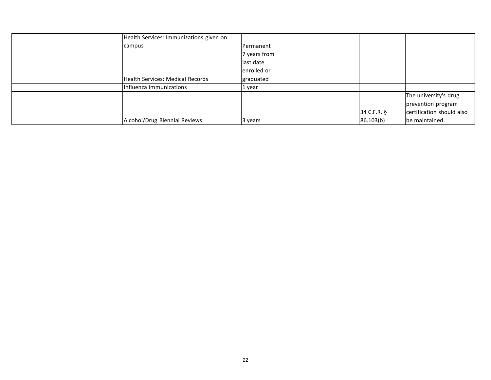| Health Services: Immunizations given on |              |               |                           |
|-----------------------------------------|--------------|---------------|---------------------------|
| campus                                  | Permanent    |               |                           |
|                                         | 7 years from |               |                           |
|                                         | last date    |               |                           |
|                                         | enrolled or  |               |                           |
| Health Services: Medical Records        | graduated    |               |                           |
| Influenza immunizations                 | 1 year       |               |                           |
|                                         |              |               | The university's drug     |
|                                         |              |               | prevention program        |
|                                         |              | $34$ C.F.R. § | certification should also |
| Alcohol/Drug Biennial Reviews           | 3 years      | 86.103(b)     | be maintained.            |